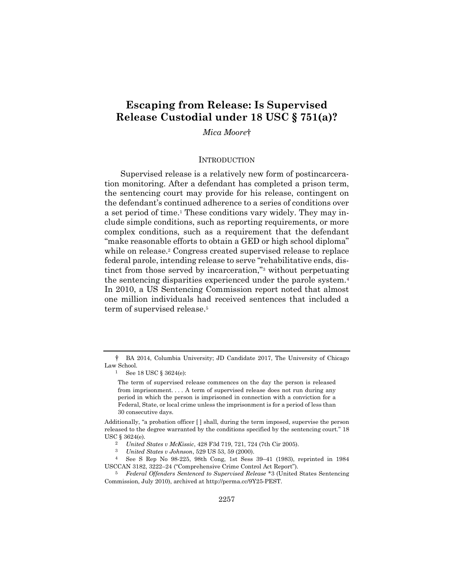# Escaping from Release: Is Supervised Release Custodial under 18 USC § 751(a)?

Mica Moore†

# **INTRODUCTION**

Supervised release is a relatively new form of postincarceration monitoring. After a defendant has completed a prison term, the sentencing court may provide for his release, contingent on the defendant's continued adherence to a series of conditions over a set period of time.<sup>1</sup> These conditions vary widely. They may include simple conditions, such as reporting requirements, or more complex conditions, such as a requirement that the defendant "make reasonable efforts to obtain a GED or high school diploma" while on release.<sup>2</sup> Congress created supervised release to replace federal parole, intending release to serve "rehabilitative ends, distinct from those served by incarceration,"<sup>3</sup> without perpetuating the sentencing disparities experienced under the parole system.<sup>4</sup> In 2010, a US Sentencing Commission report noted that almost one million individuals had received sentences that included a term of supervised release.<sup>5</sup>

<sup>†</sup> BA 2014, Columbia University; JD Candidate 2017, The University of Chicago Law School.

<sup>1</sup> See 18 USC § 3624(e):

The term of supervised release commences on the day the person is released from imprisonment. . . . A term of supervised release does not run during any period in which the person is imprisoned in connection with a conviction for a Federal, State, or local crime unless the imprisonment is for a period of less than 30 consecutive days.

Additionally, "a probation officer [ ] shall, during the term imposed, supervise the person released to the degree warranted by the conditions specified by the sentencing court." 18 USC § 3624(e).

<sup>2</sup> United States v McKissic, 428 F3d 719, 721, 724 (7th Cir 2005).

<sup>3</sup> United States v Johnson, 529 US 53, 59 (2000).

<sup>4</sup> See S Rep No 98-225, 98th Cong, 1st Sess 39–41 (1983), reprinted in 1984 USCCAN 3182, 3222–24 ("Comprehensive Crime Control Act Report").

<sup>&</sup>lt;sup>5</sup> Federal Offenders Sentenced to Supervised Release \*3 (United States Sentencing Commission, July 2010), archived at http://perma.cc/9Y25-PEST.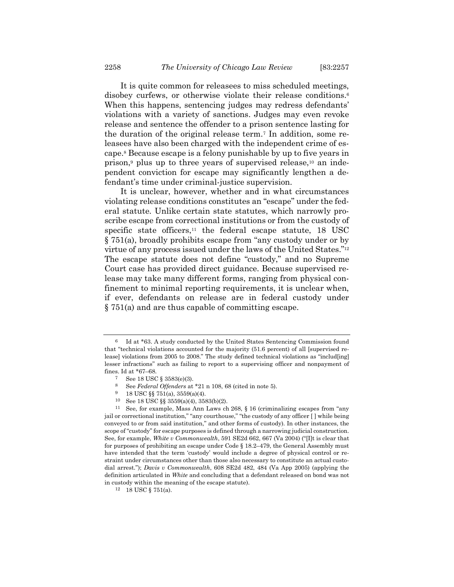It is quite common for releasees to miss scheduled meetings, disobey curfews, or otherwise violate their release conditions.<sup>6</sup> When this happens, sentencing judges may redress defendants' violations with a variety of sanctions. Judges may even revoke release and sentence the offender to a prison sentence lasting for the duration of the original release term.<sup>7</sup> In addition, some releasees have also been charged with the independent crime of escape.<sup>8</sup> Because escape is a felony punishable by up to five years in prison,<sup>9</sup> plus up to three years of supervised release,10 an independent conviction for escape may significantly lengthen a defendant's time under criminal-justice supervision.

It is unclear, however, whether and in what circumstances violating release conditions constitutes an "escape" under the federal statute. Unlike certain state statutes, which narrowly proscribe escape from correctional institutions or from the custody of specific state officers, $11$  the federal escape statute, 18 USC § 751(a), broadly prohibits escape from "any custody under or by virtue of any process issued under the laws of the United States."<sup>12</sup> The escape statute does not define "custody," and no Supreme Court case has provided direct guidance. Because supervised release may take many different forms, ranging from physical confinement to minimal reporting requirements, it is unclear when, if ever, defendants on release are in federal custody under § 751(a) and are thus capable of committing escape.

10 See 18 USC §§ 3559(a)(4), 3583(b)(2).

<sup>6</sup> Id at \*63. A study conducted by the United States Sentencing Commission found that "technical violations accounted for the majority (51.6 percent) of all [supervised release] violations from 2005 to 2008." The study defined technical violations as "includ[ing] lesser infractions" such as failing to report to a supervising officer and nonpayment of fines. Id at \*67–68.

<sup>7</sup> See 18 USC § 3583(e)(3).

<sup>8</sup> See Federal Offenders at \*21 n 108, 68 (cited in note 5).

<sup>9</sup> 18 USC §§ 751(a), 3559(a)(4).

<sup>11</sup> See, for example, Mass Ann Laws ch 268, § 16 (criminalizing escapes from "any jail or correctional institution," "any courthouse," "the custody of any officer [ ] while being conveyed to or from said institution," and other forms of custody). In other instances, the scope of "custody" for escape purposes is defined through a narrowing judicial construction. See, for example, White v Commonwealth, 591 SE2d 662, 667 (Va 2004) ("Ilt is clear that for purposes of prohibiting an escape under Code § 18.2–479, the General Assembly must have intended that the term 'custody' would include a degree of physical control or restraint under circumstances other than those also necessary to constitute an actual custodial arrest."); Davis v Commonwealth, 608 SE2d 482, 484 (Va App 2005) (applying the definition articulated in White and concluding that a defendant released on bond was not in custody within the meaning of the escape statute).

 $12$  18 USC § 751(a).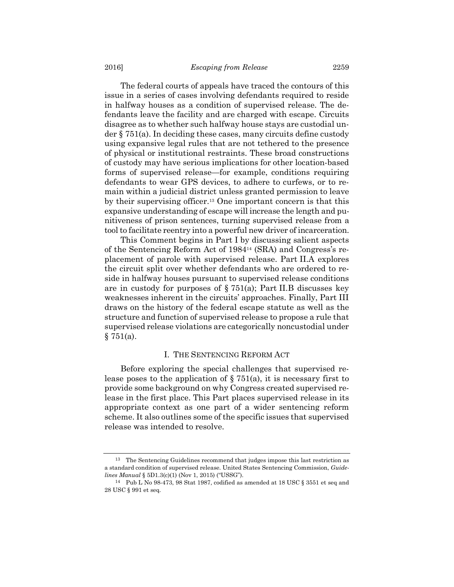The federal courts of appeals have traced the contours of this issue in a series of cases involving defendants required to reside in halfway houses as a condition of supervised release. The defendants leave the facility and are charged with escape. Circuits disagree as to whether such halfway house stays are custodial under § 751(a). In deciding these cases, many circuits define custody using expansive legal rules that are not tethered to the presence of physical or institutional restraints. These broad constructions of custody may have serious implications for other location-based forms of supervised release—for example, conditions requiring defendants to wear GPS devices, to adhere to curfews, or to remain within a judicial district unless granted permission to leave by their supervising officer.13 One important concern is that this expansive understanding of escape will increase the length and punitiveness of prison sentences, turning supervised release from a tool to facilitate reentry into a powerful new driver of incarceration.

This Comment begins in Part I by discussing salient aspects of the Sentencing Reform Act of 198414 (SRA) and Congress's replacement of parole with supervised release. Part II.A explores the circuit split over whether defendants who are ordered to reside in halfway houses pursuant to supervised release conditions are in custody for purposes of  $\S 751(a)$ ; Part II.B discusses key weaknesses inherent in the circuits' approaches. Finally, Part III draws on the history of the federal escape statute as well as the structure and function of supervised release to propose a rule that supervised release violations are categorically noncustodial under  $§ 751(a).$ 

# I. THE SENTENCING REFORM ACT

Before exploring the special challenges that supervised release poses to the application of  $\S 751(a)$ , it is necessary first to provide some background on why Congress created supervised release in the first place. This Part places supervised release in its appropriate context as one part of a wider sentencing reform scheme. It also outlines some of the specific issues that supervised release was intended to resolve.

<sup>13</sup> The Sentencing Guidelines recommend that judges impose this last restriction as a standard condition of supervised release. United States Sentencing Commission, Guidelines Manual § 5D1.3(c)(1) (Nov 1, 2015) ("USSG").

<sup>14</sup> Pub L No 98-473, 98 Stat 1987, codified as amended at 18 USC § 3551 et seq and 28 USC § 991 et seq.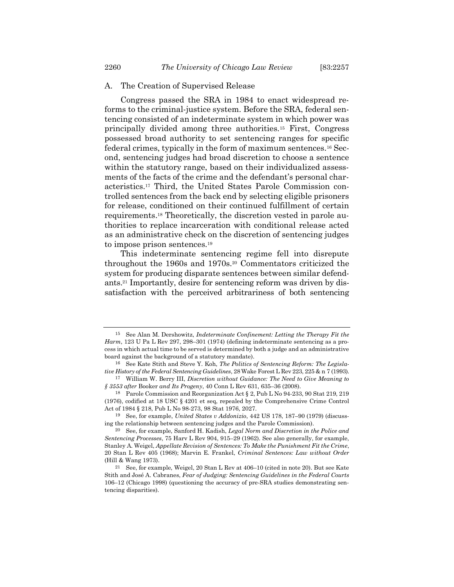#### A. The Creation of Supervised Release

Congress passed the SRA in 1984 to enact widespread reforms to the criminal-justice system. Before the SRA, federal sentencing consisted of an indeterminate system in which power was principally divided among three authorities.15 First, Congress possessed broad authority to set sentencing ranges for specific federal crimes, typically in the form of maximum sentences.16 Second, sentencing judges had broad discretion to choose a sentence within the statutory range, based on their individualized assessments of the facts of the crime and the defendant's personal characteristics.17 Third, the United States Parole Commission controlled sentences from the back end by selecting eligible prisoners for release, conditioned on their continued fulfillment of certain requirements.18 Theoretically, the discretion vested in parole authorities to replace incarceration with conditional release acted as an administrative check on the discretion of sentencing judges to impose prison sentences.<sup>19</sup>

This indeterminate sentencing regime fell into disrepute throughout the 1960s and 1970s.20 Commentators criticized the system for producing disparate sentences between similar defendants.21 Importantly, desire for sentencing reform was driven by dissatisfaction with the perceived arbitrariness of both sentencing

<sup>15</sup> See Alan M. Dershowitz, Indeterminate Confinement: Letting the Therapy Fit the Harm, 123 U Pa L Rev 297, 298–301 (1974) (defining indeterminate sentencing as a process in which actual time to be served is determined by both a judge and an administrative board against the background of a statutory mandate).

<sup>16</sup> See Kate Stith and Steve Y. Koh, The Politics of Sentencing Reform: The Legislative History of the Federal Sentencing Guidelines, 28 Wake Forest L Rev 223, 225 & n 7 (1993).

<sup>17</sup> William W. Berry III, Discretion without Guidance: The Need to Give Meaning to § 3553 after Booker and Its Progeny, 40 Conn L Rev 631, 635-36 (2008).

<sup>18</sup> Parole Commission and Reorganization Act § 2, Pub L No 94-233, 90 Stat 219, 219 (1976), codified at 18 USC § 4201 et seq, repealed by the Comprehensive Crime Control Act of 1984 § 218, Pub L No 98-273, 98 Stat 1976, 2027.

<sup>19</sup> See, for example, United States v Addonizio, 442 US 178, 187–90 (1979) (discussing the relationship between sentencing judges and the Parole Commission).

<sup>&</sup>lt;sup>20</sup> See, for example, Sanford H. Kadish, *Legal Norm and Discretion in the Police and* Sentencing Processes, 75 Harv L Rev 904, 915–29 (1962). See also generally, for example, Stanley A. Weigel, Appellate Revision of Sentences: To Make the Punishment Fit the Crime, 20 Stan L Rev 405 (1968); Marvin E. Frankel, Criminal Sentences: Law without Order (Hill & Wang 1973).

<sup>21</sup> See, for example, Weigel, 20 Stan L Rev at 406–10 (cited in note 20). But see Kate Stith and José A. Cabranes, Fear of Judging: Sentencing Guidelines in the Federal Courts 106–12 (Chicago 1998) (questioning the accuracy of pre-SRA studies demonstrating sentencing disparities).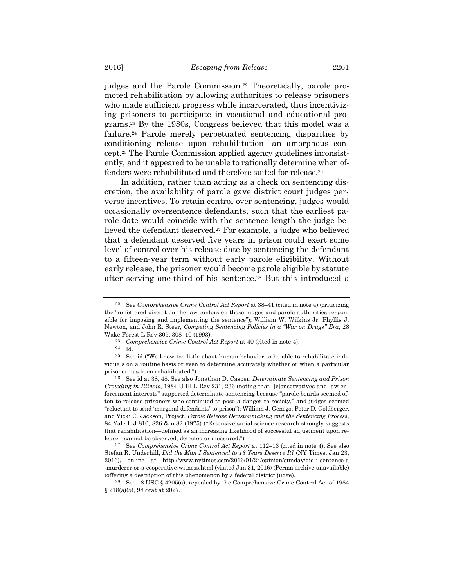judges and the Parole Commission.22 Theoretically, parole promoted rehabilitation by allowing authorities to release prisoners who made sufficient progress while incarcerated, thus incentivizing prisoners to participate in vocational and educational programs.23 By the 1980s, Congress believed that this model was a failure.24 Parole merely perpetuated sentencing disparities by conditioning release upon rehabilitation—an amorphous concept.25 The Parole Commission applied agency guidelines inconsistently, and it appeared to be unable to rationally determine when offenders were rehabilitated and therefore suited for release.<sup>26</sup>

In addition, rather than acting as a check on sentencing discretion, the availability of parole gave district court judges perverse incentives. To retain control over sentencing, judges would occasionally oversentence defendants, such that the earliest parole date would coincide with the sentence length the judge believed the defendant deserved.27 For example, a judge who believed that a defendant deserved five years in prison could exert some level of control over his release date by sentencing the defendant to a fifteen-year term without early parole eligibility. Without early release, the prisoner would become parole eligible by statute after serving one-third of his sentence.28 But this introduced a

<sup>22</sup> See Comprehensive Crime Control Act Report at 38–41 (cited in note 4) (criticizing the "unfettered discretion the law confers on those judges and parole authorities responsible for imposing and implementing the sentence"); William W. Wilkins Jr, Phyllis J. Newton, and John R. Steer, Competing Sentencing Policies in a "War on Drugs" Era, 28 Wake Forest L Rev 305, 308–10 (1993).

<sup>23</sup> Comprehensive Crime Control Act Report at 40 (cited in note 4).

<sup>24</sup> Id.

<sup>25</sup> See id ("We know too little about human behavior to be able to rehabilitate individuals on a routine basis or even to determine accurately whether or when a particular prisoner has been rehabilitated.").

<sup>26</sup> See id at 38, 48. See also Jonathan D. Casper, Determinate Sentencing and Prison Crowding in Illinois, 1984 U Ill L Rev 231, 236 (noting that "[c]onservatives and law enforcement interests" supported determinate sentencing because "parole boards seemed often to release prisoners who continued to pose a danger to society," and judges seemed "reluctant to send 'marginal defendants' to prison"); William J. Genego, Peter D. Goldberger, and Vicki C. Jackson, Project, Parole Release Decisionmaking and the Sentencing Process, 84 Yale L J 810, 826 & n 82 (1975) ("Extensive social science research strongly suggests that rehabilitation—defined as an increasing likelihood of successful adjustment upon release—cannot be observed, detected or measured.").

<sup>&</sup>lt;sup>27</sup> See Comprehensive Crime Control Act Report at  $112-13$  (cited in note 4). See also Stefan R. Underhill, Did the Man I Sentenced to 18 Years Deserve It? (NY Times, Jan 23, 2016), online at http://www.nytimes.com/2016/01/24/opinion/sunday/did-i-sentence-a -murderer-or-a-cooperative-witness.html (visited Jan 31, 2016) (Perma archive unavailable) (offering a description of this phenomenon by a federal district judge).

<sup>28</sup> See 18 USC § 4205(a), repealed by the Comprehensive Crime Control Act of 1984 § 218(a)(5), 98 Stat at 2027.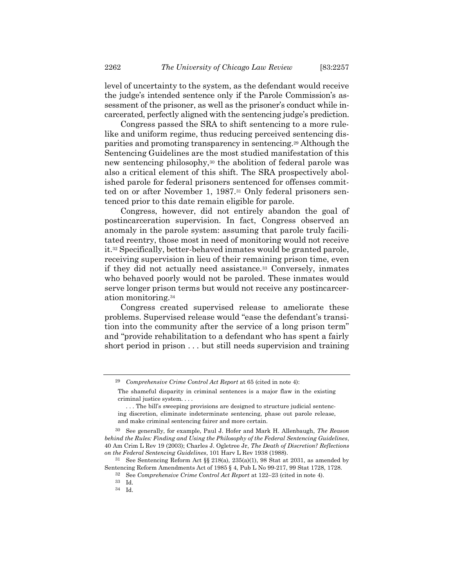level of uncertainty to the system, as the defendant would receive the judge's intended sentence only if the Parole Commission's assessment of the prisoner, as well as the prisoner's conduct while incarcerated, perfectly aligned with the sentencing judge's prediction.

Congress passed the SRA to shift sentencing to a more rulelike and uniform regime, thus reducing perceived sentencing disparities and promoting transparency in sentencing.29 Although the Sentencing Guidelines are the most studied manifestation of this new sentencing philosophy,30 the abolition of federal parole was also a critical element of this shift. The SRA prospectively abolished parole for federal prisoners sentenced for offenses committed on or after November 1, 1987.<sup>31</sup> Only federal prisoners sentenced prior to this date remain eligible for parole.

Congress, however, did not entirely abandon the goal of postincarceration supervision. In fact, Congress observed an anomaly in the parole system: assuming that parole truly facilitated reentry, those most in need of monitoring would not receive it.32 Specifically, better-behaved inmates would be granted parole, receiving supervision in lieu of their remaining prison time, even if they did not actually need assistance.33 Conversely, inmates who behaved poorly would not be paroled. These inmates would serve longer prison terms but would not receive any postincarceration monitoring.<sup>34</sup>

Congress created supervised release to ameliorate these problems. Supervised release would "ease the defendant's transition into the community after the service of a long prison term" and "provide rehabilitation to a defendant who has spent a fairly short period in prison . . . but still needs supervision and training

<sup>29</sup> Comprehensive Crime Control Act Report at 65 (cited in note 4):

The shameful disparity in criminal sentences is a major flaw in the existing criminal justice system. . . .

 <sup>. . .</sup> The bill's sweeping provisions are designed to structure judicial sentencing discretion, eliminate indeterminate sentencing, phase out parole release, and make criminal sentencing fairer and more certain.

See generally, for example, Paul J. Hofer and Mark H. Allenbaugh, *The Reason* behind the Rules: Finding and Using the Philosophy of the Federal Sentencing Guidelines, 40 Am Crim L Rev 19 (2003); Charles J. Ogletree Jr, The Death of Discretion? Reflections on the Federal Sentencing Guidelines, 101 Harv L Rev 1938 (1988).

<sup>&</sup>lt;sup>31</sup> See Sentencing Reform Act  $\S$  218(a), 235(a)(1), 98 Stat at 2031, as amended by Sentencing Reform Amendments Act of 1985 § 4, Pub L No 99-217, 99 Stat 1728, 1728.

<sup>32</sup> See Comprehensive Crime Control Act Report at 122–23 (cited in note 4).

<sup>33</sup> Id.

<sup>34</sup> Id.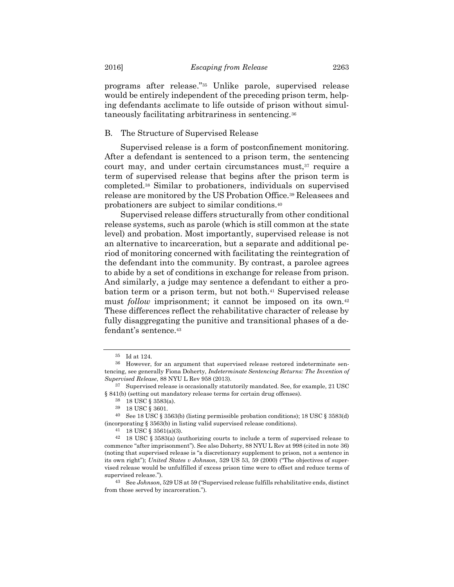programs after release."35 Unlike parole, supervised release would be entirely independent of the preceding prison term, helping defendants acclimate to life outside of prison without simultaneously facilitating arbitrariness in sentencing.<sup>36</sup>

B. The Structure of Supervised Release

Supervised release is a form of postconfinement monitoring. After a defendant is sentenced to a prison term, the sentencing court may, and under certain circumstances must, $37$  require a term of supervised release that begins after the prison term is completed.38 Similar to probationers, individuals on supervised release are monitored by the US Probation Office.39 Releasees and probationers are subject to similar conditions.<sup>40</sup>

Supervised release differs structurally from other conditional release systems, such as parole (which is still common at the state level) and probation. Most importantly, supervised release is not an alternative to incarceration, but a separate and additional period of monitoring concerned with facilitating the reintegration of the defendant into the community. By contrast, a parolee agrees to abide by a set of conditions in exchange for release from prison. And similarly, a judge may sentence a defendant to either a probation term or a prison term, but not both.41 Supervised release must *follow* imprisonment; it cannot be imposed on its own.<sup>42</sup> These differences reflect the rehabilitative character of release by fully disaggregating the punitive and transitional phases of a defendant's sentence.<sup>43</sup>

<sup>35</sup> Id at 124.

<sup>36</sup> However, for an argument that supervised release restored indeterminate sentencing, see generally Fiona Doherty, Indeterminate Sentencing Returns: The Invention of Supervised Release, 88 NYU L Rev 958 (2013).

 $^{37}$  Supervised release is occasionally statutorily mandated. See, for example,  $21\:\mathrm{USC}$ § 841(b) (setting out mandatory release terms for certain drug offenses).

<sup>38</sup> 18 USC § 3583(a).

<sup>39</sup> 18 USC § 3601.

<sup>40</sup> See 18 USC § 3563(b) (listing permissible probation conditions); 18 USC § 3583(d) (incorporating § 3563(b) in listing valid supervised release conditions).

<sup>41</sup> 18 USC § 3561(a)(3).

<sup>42</sup> 18 USC § 3583(a) (authorizing courts to include a term of supervised release to commence "after imprisonment"). See also Doherty, 88 NYU L Rev at 998 (cited in note 36) (noting that supervised release is "a discretionary supplement to prison, not a sentence in its own right"); United States v Johnson, 529 US 53, 59 (2000) ("The objectives of supervised release would be unfulfilled if excess prison time were to offset and reduce terms of supervised release.").

<sup>43</sup> See Johnson, 529 US at 59 ("Supervised release fulfills rehabilitative ends, distinct from those served by incarceration.").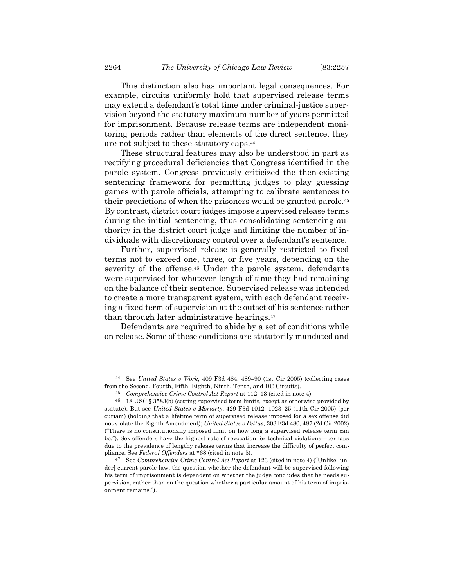This distinction also has important legal consequences. For example, circuits uniformly hold that supervised release terms may extend a defendant's total time under criminal-justice supervision beyond the statutory maximum number of years permitted for imprisonment. Because release terms are independent monitoring periods rather than elements of the direct sentence, they are not subject to these statutory caps.<sup>44</sup>

These structural features may also be understood in part as rectifying procedural deficiencies that Congress identified in the parole system. Congress previously criticized the then-existing sentencing framework for permitting judges to play guessing games with parole officials, attempting to calibrate sentences to their predictions of when the prisoners would be granted parole.<sup>45</sup> By contrast, district court judges impose supervised release terms during the initial sentencing, thus consolidating sentencing authority in the district court judge and limiting the number of individuals with discretionary control over a defendant's sentence.

Further, supervised release is generally restricted to fixed terms not to exceed one, three, or five years, depending on the severity of the offense.<sup>46</sup> Under the parole system, defendants were supervised for whatever length of time they had remaining on the balance of their sentence. Supervised release was intended to create a more transparent system, with each defendant receiving a fixed term of supervision at the outset of his sentence rather than through later administrative hearings.<sup>47</sup>

Defendants are required to abide by a set of conditions while on release. Some of these conditions are statutorily mandated and

<sup>44</sup> See United States v Work, 409 F3d 484, 489–90 (1st Cir 2005) (collecting cases from the Second, Fourth, Fifth, Eighth, Ninth, Tenth, and DC Circuits).

<sup>45</sup> Comprehensive Crime Control Act Report at 112–13 (cited in note 4).

<sup>46</sup> 18 USC § 3583(b) (setting supervised term limits, except as otherwise provided by statute). But see United States v Moriarty, 429 F3d 1012, 1023–25 (11th Cir 2005) (per curiam) (holding that a lifetime term of supervised release imposed for a sex offense did not violate the Eighth Amendment); United States v Pettus, 303 F3d 480, 487 (2d Cir 2002) ("There is no constitutionally imposed limit on how long a supervised release term can be."). Sex offenders have the highest rate of revocation for technical violations—perhaps due to the prevalence of lengthy release terms that increase the difficulty of perfect compliance. See Federal Offenders at \*68 (cited in note 5).

<sup>47</sup> See Comprehensive Crime Control Act Report at 123 (cited in note 4) ("Unlike [under] current parole law, the question whether the defendant will be supervised following his term of imprisonment is dependent on whether the judge concludes that he needs supervision, rather than on the question whether a particular amount of his term of imprisonment remains.").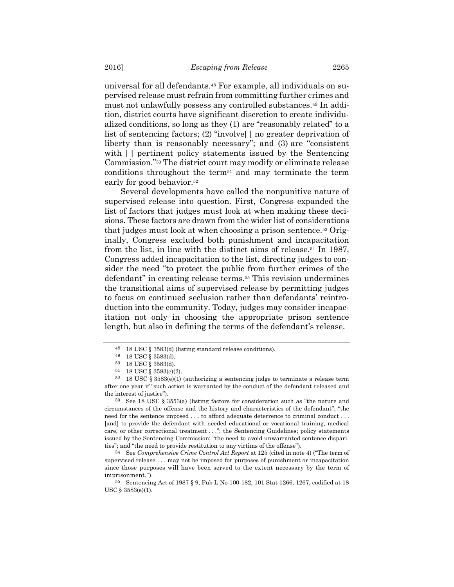universal for all defendants.48 For example, all individuals on supervised release must refrain from committing further crimes and must not unlawfully possess any controlled substances.49 In addition, district courts have significant discretion to create individualized conditions, so long as they (1) are "reasonably related" to a list of sentencing factors; (2) "involve[ ] no greater deprivation of liberty than is reasonably necessary"; and (3) are "consistent with  $\Box$  pertinent policy statements issued by the Sentencing Commission."50 The district court may modify or eliminate release conditions throughout the term<sup>51</sup> and may terminate the term early for good behavior.<sup>52</sup>

Several developments have called the nonpunitive nature of supervised release into question. First, Congress expanded the list of factors that judges must look at when making these decisions. These factors are drawn from the wider list of considerations that judges must look at when choosing a prison sentence.53 Originally, Congress excluded both punishment and incapacitation from the list, in line with the distinct aims of release.54 In 1987, Congress added incapacitation to the list, directing judges to consider the need "to protect the public from further crimes of the defendant" in creating release terms.55 This revision undermines the transitional aims of supervised release by permitting judges to focus on continued seclusion rather than defendants' reintroduction into the community. Today, judges may consider incapacitation not only in choosing the appropriate prison sentence length, but also in defining the terms of the defendant's release.

53 See 18 USC § 3553(a) (listing factors for consideration such as "the nature and circumstances of the offense and the history and characteristics of the defendant"; "the need for the sentence imposed . . . to afford adequate deterrence to criminal conduct . . . [and] to provide the defendant with needed educational or vocational training, medical care, or other correctional treatment . . ."; the Sentencing Guidelines; policy statements issued by the Sentencing Commission; "the need to avoid unwarranted sentence disparities"; and "the need to provide restitution to any victims of the offense").

54 See Comprehensive Crime Control Act Report at 125 (cited in note 4) ("The term of supervised release . . . may not be imposed for purposes of punishment or incapacitation since those purposes will have been served to the extent necessary by the term of imprisonment.").

<sup>48</sup> 18 USC § 3583(d) (listing standard release conditions).

<sup>49</sup> 18 USC § 3583(d).

<sup>50</sup> 18 USC § 3583(d).

<sup>51</sup> 18 USC § 3583(e)(2).

 $52$  18 USC § 3583(e)(1) (authorizing a sentencing judge to terminate a release term after one year if "such action is warranted by the conduct of the defendant released and the interest of justice").

<sup>55</sup> Sentencing Act of 1987 § 9, Pub L No 100-182, 101 Stat 1266, 1267, codified at 18 USC § 3583(e)(1).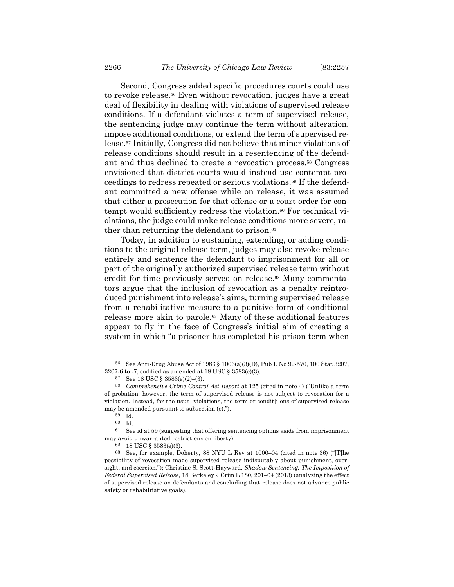Second, Congress added specific procedures courts could use to revoke release.56 Even without revocation, judges have a great deal of flexibility in dealing with violations of supervised release conditions. If a defendant violates a term of supervised release, the sentencing judge may continue the term without alteration, impose additional conditions, or extend the term of supervised release.57 Initially, Congress did not believe that minor violations of release conditions should result in a resentencing of the defendant and thus declined to create a revocation process.58 Congress envisioned that district courts would instead use contempt proceedings to redress repeated or serious violations.59 If the defendant committed a new offense while on release, it was assumed that either a prosecution for that offense or a court order for contempt would sufficiently redress the violation.<sup>60</sup> For technical violations, the judge could make release conditions more severe, rather than returning the defendant to prison.<sup>61</sup>

Today, in addition to sustaining, extending, or adding conditions to the original release term, judges may also revoke release entirely and sentence the defendant to imprisonment for all or part of the originally authorized supervised release term without credit for time previously served on release.62 Many commentators argue that the inclusion of revocation as a penalty reintroduced punishment into release's aims, turning supervised release from a rehabilitative measure to a punitive form of conditional release more akin to parole.63 Many of these additional features appear to fly in the face of Congress's initial aim of creating a system in which "a prisoner has completed his prison term when

<sup>56</sup> See Anti-Drug Abuse Act of 1986 § 1006(a)(3)(D), Pub L No 99-570, 100 Stat 3207, 3207-6 to -7, codified as amended at 18 USC § 3583(e)(3).

<sup>57</sup> See 18 USC § 3583(e)(2)–(3).

<sup>58</sup> Comprehensive Crime Control Act Report at 125 (cited in note 4) ("Unlike a term of probation, however, the term of supervised release is not subject to revocation for a violation. Instead, for the usual violations, the term or condit[i]ons of supervised release may be amended pursuant to subsection (e).").

<sup>59</sup> Id.

<sup>60</sup> Id.

<sup>61</sup> See id at 59 (suggesting that offering sentencing options aside from imprisonment may avoid unwarranted restrictions on liberty).

<sup>62</sup> 18 USC § 3583(e)(3).

<sup>63</sup> See, for example, Doherty, 88 NYU L Rev at 1000–04 (cited in note 36) ("[T]he possibility of revocation made supervised release indisputably about punishment, oversight, and coercion."); Christine S. Scott-Hayward, Shadow Sentencing: The Imposition of Federal Supervised Release, 18 Berkeley J Crim L 180, 201–04 (2013) (analyzing the effect of supervised release on defendants and concluding that release does not advance public safety or rehabilitative goals).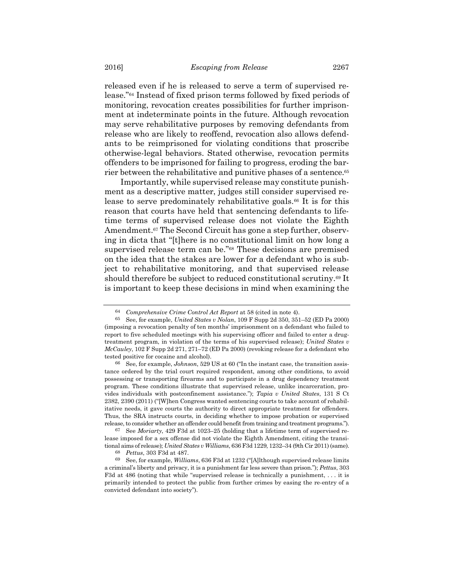released even if he is released to serve a term of supervised release."64 Instead of fixed prison terms followed by fixed periods of monitoring, revocation creates possibilities for further imprisonment at indeterminate points in the future. Although revocation may serve rehabilitative purposes by removing defendants from release who are likely to reoffend, revocation also allows defendants to be reimprisoned for violating conditions that proscribe otherwise-legal behaviors. Stated otherwise, revocation permits offenders to be imprisoned for failing to progress, eroding the barrier between the rehabilitative and punitive phases of a sentence.<sup>65</sup>

Importantly, while supervised release may constitute punishment as a descriptive matter, judges still consider supervised release to serve predominately rehabilitative goals.66 It is for this reason that courts have held that sentencing defendants to lifetime terms of supervised release does not violate the Eighth Amendment.<sup>67</sup> The Second Circuit has gone a step further, observing in dicta that "[t]here is no constitutional limit on how long a supervised release term can be."68 These decisions are premised on the idea that the stakes are lower for a defendant who is subject to rehabilitative monitoring, and that supervised release should therefore be subject to reduced constitutional scrutiny.<sup>69</sup> It is important to keep these decisions in mind when examining the

<sup>64</sup> Comprehensive Crime Control Act Report at 58 (cited in note 4).

<sup>65</sup> See, for example, United States v Nolan, 109 F Supp 2d 350, 351–52 (ED Pa 2000) (imposing a revocation penalty of ten months' imprisonment on a defendant who failed to report to five scheduled meetings with his supervising officer and failed to enter a drugtreatment program, in violation of the terms of his supervised release); United States v McCauley, 102 F Supp 2d 271, 271–72 (ED Pa 2000) (revoking release for a defendant who tested positive for cocaine and alcohol).

<sup>66</sup> See, for example, Johnson, 529 US at 60 ("In the instant case, the transition assistance ordered by the trial court required respondent, among other conditions, to avoid possessing or transporting firearms and to participate in a drug dependency treatment program. These conditions illustrate that supervised release, unlike incarceration, provides individuals with postconfinement assistance."); Tapia v United States, 131 S Ct 2382, 2390 (2011) ("[W]hen Congress wanted sentencing courts to take account of rehabilitative needs, it gave courts the authority to direct appropriate treatment for offenders. Thus, the SRA instructs courts, in deciding whether to impose probation or supervised release, to consider whether an offender could benefit from training and treatment programs.").

 $67$  See *Moriarty*, 429 F3d at 1023–25 (holding that a lifetime term of supervised release imposed for a sex offense did not violate the Eighth Amendment, citing the transitional aims of release); United States v Williams, 636 F3d 1229, 1232–34 (9th Cir 2011) (same).

 $68$  *Pettus*, 303 F3d at 487.<br> $69$  See for example *Willio* 

<sup>69</sup> See, for example, Williams, 636 F3d at 1232 ("[A]lthough supervised release limits a criminal's liberty and privacy, it is a punishment far less severe than prison."); Pettus, 303 F3d at 486 (noting that while "supervised release is technically a punishment, . . . it is primarily intended to protect the public from further crimes by easing the re-entry of a convicted defendant into society").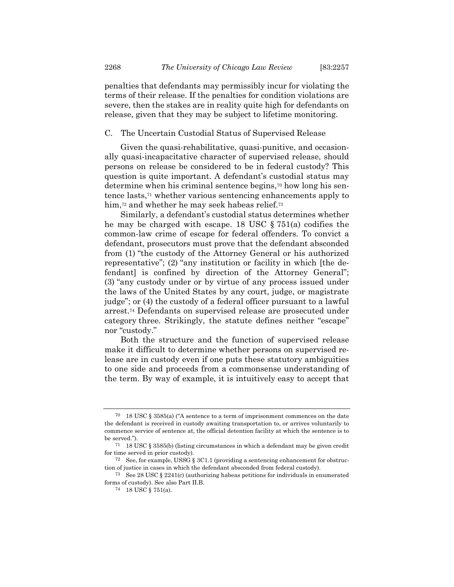penalties that defendants may permissibly incur for violating the terms of their release. If the penalties for condition violations are severe, then the stakes are in reality quite high for defendants on release, given that they may be subject to lifetime monitoring.

# C. The Uncertain Custodial Status of Supervised Release

Given the quasi-rehabilitative, quasi-punitive, and occasionally quasi-incapacitative character of supervised release, should persons on release be considered to be in federal custody? This question is quite important. A defendant's custodial status may determine when his criminal sentence begins,70 how long his sentence lasts,71 whether various sentencing enhancements apply to him,<sup>72</sup> and whether he may seek habeas relief.<sup>73</sup>

Similarly, a defendant's custodial status determines whether he may be charged with escape. 18 USC § 751(a) codifies the common-law crime of escape for federal offenders. To convict a defendant, prosecutors must prove that the defendant absconded from (1) "the custody of the Attorney General or his authorized representative"; (2) "any institution or facility in which [the defendant] is confined by direction of the Attorney General"; (3) "any custody under or by virtue of any process issued under the laws of the United States by any court, judge, or magistrate judge"; or (4) the custody of a federal officer pursuant to a lawful arrest.74 Defendants on supervised release are prosecuted under category three. Strikingly, the statute defines neither "escape" nor "custody."

Both the structure and the function of supervised release make it difficult to determine whether persons on supervised release are in custody even if one puts these statutory ambiguities to one side and proceeds from a commonsense understanding of the term. By way of example, it is intuitively easy to accept that

<sup>70</sup> 18 USC § 3585(a) ("A sentence to a term of imprisonment commences on the date the defendant is received in custody awaiting transportation to, or arrives voluntarily to commence service of sentence at, the official detention facility at which the sentence is to be served.").

<sup>71</sup> 18 USC § 3585(b) (listing circumstances in which a defendant may be given credit for time served in prior custody).

<sup>72</sup> See, for example, USSG § 3C1.1 (providing a sentencing enhancement for obstruction of justice in cases in which the defendant absconded from federal custody).

<sup>73</sup> See 28 USC § 2241(c) (authorizing habeas petitions for individuals in enumerated forms of custody). See also Part II.B.

<sup>74</sup> 18 USC § 751(a).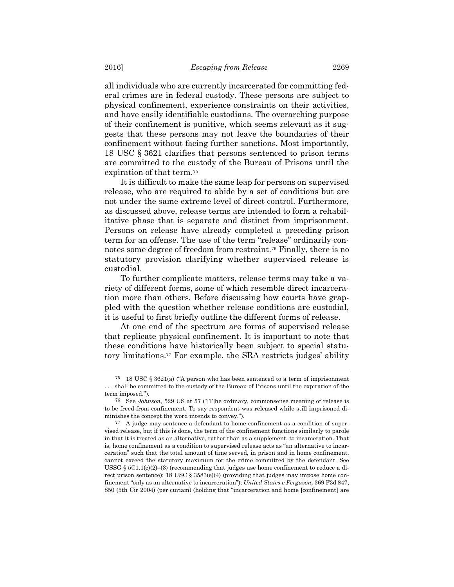all individuals who are currently incarcerated for committing federal crimes are in federal custody. These persons are subject to physical confinement, experience constraints on their activities, and have easily identifiable custodians. The overarching purpose of their confinement is punitive, which seems relevant as it suggests that these persons may not leave the boundaries of their confinement without facing further sanctions. Most importantly, 18 USC § 3621 clarifies that persons sentenced to prison terms are committed to the custody of the Bureau of Prisons until the expiration of that term.<sup>75</sup>

It is difficult to make the same leap for persons on supervised release, who are required to abide by a set of conditions but are not under the same extreme level of direct control. Furthermore, as discussed above, release terms are intended to form a rehabilitative phase that is separate and distinct from imprisonment. Persons on release have already completed a preceding prison term for an offense. The use of the term "release" ordinarily connotes some degree of freedom from restraint.76 Finally, there is no statutory provision clarifying whether supervised release is custodial.

To further complicate matters, release terms may take a variety of different forms, some of which resemble direct incarceration more than others. Before discussing how courts have grappled with the question whether release conditions are custodial, it is useful to first briefly outline the different forms of release.

At one end of the spectrum are forms of supervised release that replicate physical confinement. It is important to note that these conditions have historically been subject to special statutory limitations.77 For example, the SRA restricts judges' ability

<sup>75</sup> 18 USC § 3621(a) ("A person who has been sentenced to a term of imprisonment . . . shall be committed to the custody of the Bureau of Prisons until the expiration of the term imposed.").

<sup>76</sup> See Johnson, 529 US at 57 ("[T]he ordinary, commonsense meaning of release is to be freed from confinement. To say respondent was released while still imprisoned diminishes the concept the word intends to convey.").

<sup>77</sup> A judge may sentence a defendant to home confinement as a condition of supervised release, but if this is done, the term of the confinement functions similarly to parole in that it is treated as an alternative, rather than as a supplement, to incarceration. That is, home confinement as a condition to supervised release acts as "an alternative to incarceration" such that the total amount of time served, in prison and in home confinement, cannot exceed the statutory maximum for the crime committed by the defendant. See USSG  $\S 5C1.1(c)(2)–(3)$  (recommending that judges use home confinement to reduce a direct prison sentence); 18 USC  $\S 3583(e)(4)$  (providing that judges may impose home confinement "only as an alternative to incarceration"); United States v Ferguson, 369 F3d 847, 850 (5th Cir 2004) (per curiam) (holding that "incarceration and home [confinement] are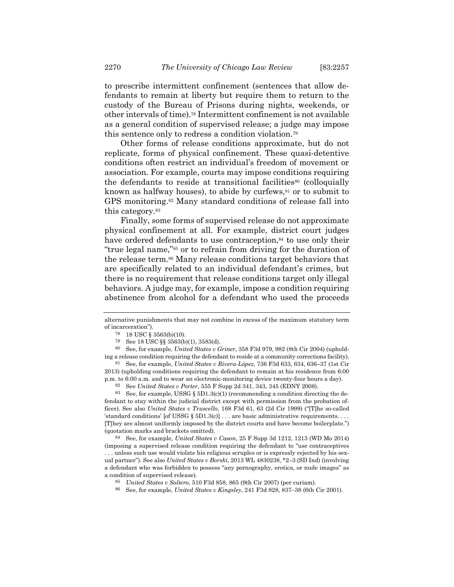to prescribe intermittent confinement (sentences that allow defendants to remain at liberty but require them to return to the custody of the Bureau of Prisons during nights, weekends, or other intervals of time).78 Intermittent confinement is not available as a general condition of supervised release; a judge may impose this sentence only to redress a condition violation.<sup>79</sup>

Other forms of release conditions approximate, but do not replicate, forms of physical confinement. These quasi-detentive conditions often restrict an individual's freedom of movement or association. For example, courts may impose conditions requiring the defendants to reside at transitional facilities<sup>80</sup> (colloquially known as halfway houses), to abide by curfews, <sup>81</sup> or to submit to GPS monitoring.82 Many standard conditions of release fall into this category.<sup>83</sup>

Finally, some forms of supervised release do not approximate physical confinement at all. For example, district court judges have ordered defendants to use contraception,<sup>84</sup> to use only their "true legal name,"85 or to refrain from driving for the duration of the release term.86 Many release conditions target behaviors that are specifically related to an individual defendant's crimes, but there is no requirement that release conditions target only illegal behaviors. A judge may, for example, impose a condition requiring abstinence from alcohol for a defendant who used the proceeds

82 See United States v Porter, 555 F Supp 2d 341, 343, 345 (EDNY 2008).

83 See, for example, USSG  $\S 5D1.3(c)(1)$  (recommending a condition directing the defendant to stay within the judicial district except with permission from the probation officer). See also United States v Truscello, 168 F3d 61, 63 (2d Cir 1999) ("[T]he so-called 'standard conditions' [of USSG  $\S$  5D1.3(c)] ... are basic administrative requirements... [T]hey are almost uniformly imposed by the district courts and have become boilerplate.") (quotation marks and brackets omitted).

84 See, for example, United States v Cason, 25 F Supp 3d 1212, 1213 (WD Mo 2014) (imposing a supervised release condition requiring the defendant to "use contraceptives . . . unless such use would violate his religious scruples or is expressly rejected by his sexual partner"). See also United States v Borski, 2013 WL 4830238, \*2-3 (SD Ind) (involving a defendant who was forbidden to possess "any pornography, erotica, or nude images" as a condition of supervised release).

86 See, for example, United States v Kingsley, 241 F3d 828, 837–38 (6th Cir 2001).

alternative punishments that may not combine in excess of the maximum statutory term of incarceration").

<sup>78</sup> 18 USC § 3563(b)(10).

<sup>79</sup> See 18 USC §§ 3563(b)(1), 3583(d).

<sup>80</sup> See, for example, United States v Griner, 358 F3d 979, 982 (8th Cir 2004) (upholding a release condition requiring the defendant to reside at a community corrections facility).

<sup>81</sup> See, for example, United States v Rivera-López, 736 F3d 633, 634, 636–37 (1st Cir 2013) (upholding conditions requiring the defendant to remain at his residence from 6:00 p.m. to 6:00 a.m. and to wear an electronic-monitoring device twenty-four hours a day).

<sup>85</sup> United States v Soltero, 510 F3d 858, 865 (9th Cir 2007) (per curiam).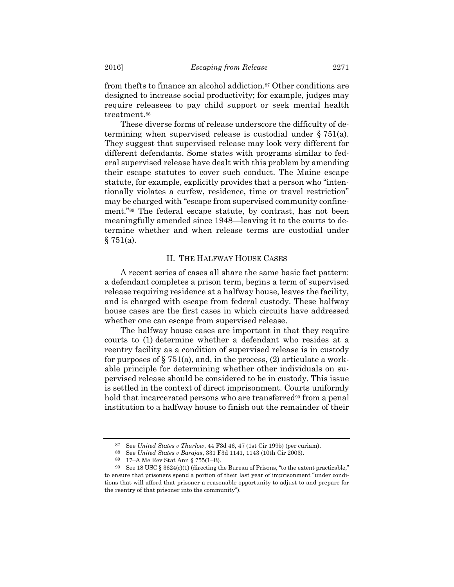from thefts to finance an alcohol addiction.<sup>87</sup> Other conditions are designed to increase social productivity; for example, judges may require releasees to pay child support or seek mental health treatment.<sup>88</sup>

These diverse forms of release underscore the difficulty of determining when supervised release is custodial under § 751(a). They suggest that supervised release may look very different for different defendants. Some states with programs similar to federal supervised release have dealt with this problem by amending their escape statutes to cover such conduct. The Maine escape statute, for example, explicitly provides that a person who "intentionally violates a curfew, residence, time or travel restriction" may be charged with "escape from supervised community confinement."89 The federal escape statute, by contrast, has not been meaningfully amended since 1948—leaving it to the courts to determine whether and when release terms are custodial under  $§ 751(a).$ 

#### II. THE HALFWAY HOUSE CASES

A recent series of cases all share the same basic fact pattern: a defendant completes a prison term, begins a term of supervised release requiring residence at a halfway house, leaves the facility, and is charged with escape from federal custody. These halfway house cases are the first cases in which circuits have addressed whether one can escape from supervised release.

The halfway house cases are important in that they require courts to (1) determine whether a defendant who resides at a reentry facility as a condition of supervised release is in custody for purposes of  $\S 751(a)$ , and, in the process, (2) articulate a workable principle for determining whether other individuals on supervised release should be considered to be in custody. This issue is settled in the context of direct imprisonment. Courts uniformly hold that incarcerated persons who are transferred<sup>90</sup> from a penal institution to a halfway house to finish out the remainder of their

<sup>&</sup>lt;sup>87</sup> See United States v Thurlow, 44 F3d 46, 47 (1st Cir 1995) (per curiam).

<sup>88</sup> See United States v Barajas, 331 F3d 1141, 1143 (10th Cir 2003).

<sup>89</sup> 17–A Me Rev Stat Ann § 755(1–B).

<sup>&</sup>lt;sup>90</sup> See 18 USC  $\S 3624(c)(1)$  (directing the Bureau of Prisons, "to the extent practicable," to ensure that prisoners spend a portion of their last year of imprisonment "under conditions that will afford that prisoner a reasonable opportunity to adjust to and prepare for the reentry of that prisoner into the community").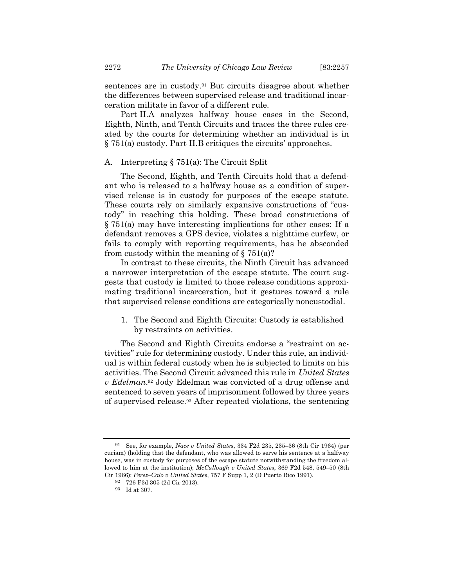sentences are in custody.91 But circuits disagree about whether the differences between supervised release and traditional incarceration militate in favor of a different rule.

Part II.A analyzes halfway house cases in the Second, Eighth, Ninth, and Tenth Circuits and traces the three rules created by the courts for determining whether an individual is in § 751(a) custody. Part II.B critiques the circuits' approaches.

#### A. Interpreting § 751(a): The Circuit Split

The Second, Eighth, and Tenth Circuits hold that a defendant who is released to a halfway house as a condition of supervised release is in custody for purposes of the escape statute. These courts rely on similarly expansive constructions of "custody" in reaching this holding. These broad constructions of § 751(a) may have interesting implications for other cases: If a defendant removes a GPS device, violates a nighttime curfew, or fails to comply with reporting requirements, has he absconded from custody within the meaning of  $\S 751(a)$ ?

In contrast to these circuits, the Ninth Circuit has advanced a narrower interpretation of the escape statute. The court suggests that custody is limited to those release conditions approximating traditional incarceration, but it gestures toward a rule that supervised release conditions are categorically noncustodial.

1. The Second and Eighth Circuits: Custody is established by restraints on activities.

The Second and Eighth Circuits endorse a "restraint on activities" rule for determining custody. Under this rule, an individual is within federal custody when he is subjected to limits on his activities. The Second Circuit advanced this rule in United States v Edelman.<sup>92</sup> Jody Edelman was convicted of a drug offense and sentenced to seven years of imprisonment followed by three years of supervised release.93 After repeated violations, the sentencing

<sup>&</sup>lt;sup>91</sup> See, for example, *Nace v United States*,  $334$  F2d  $235$ ,  $235-36$  (8th Cir 1964) (per curiam) (holding that the defendant, who was allowed to serve his sentence at a halfway house, was in custody for purposes of the escape statute notwithstanding the freedom allowed to him at the institution);  $McCullough$  v United States, 369 F2d 548, 549–50 (8th Cir 1966); Perez–Calo v United States, 757 F Supp 1, 2 (D Puerto Rico 1991).

<sup>92</sup> 726 F3d 305 (2d Cir 2013).

<sup>93</sup> Id at 307.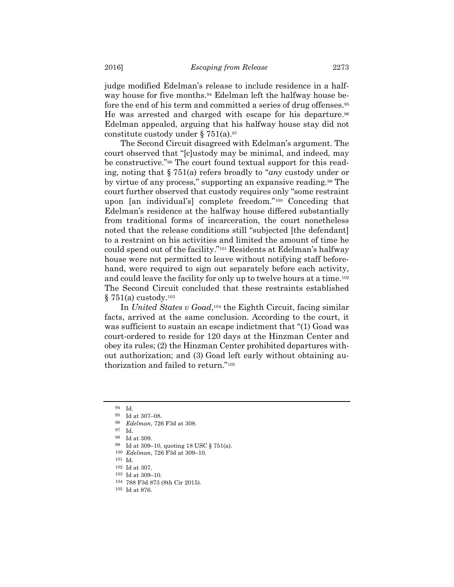judge modified Edelman's release to include residence in a halfway house for five months.<sup>94</sup> Edelman left the halfway house before the end of his term and committed a series of drug offenses.<sup>95</sup> He was arrested and charged with escape for his departure.<sup>96</sup> Edelman appealed, arguing that his halfway house stay did not constitute custody under  $\S 751(a).$ <sup>97</sup>

The Second Circuit disagreed with Edelman's argument. The court observed that "[c]ustody may be minimal, and indeed, may be constructive."98 The court found textual support for this reading, noting that § 751(a) refers broadly to "any custody under or by virtue of any process," supporting an expansive reading.99 The court further observed that custody requires only "some restraint upon [an individual's] complete freedom."100 Conceding that Edelman's residence at the halfway house differed substantially from traditional forms of incarceration, the court nonetheless noted that the release conditions still "subjected [the defendant] to a restraint on his activities and limited the amount of time he could spend out of the facility."101 Residents at Edelman's halfway house were not permitted to leave without notifying staff beforehand, were required to sign out separately before each activity, and could leave the facility for only up to twelve hours at a time.<sup>102</sup> The Second Circuit concluded that these restraints established  $§ 751(a) custody.<sup>103</sup>$ 

In United States v Goad,<sup>104</sup> the Eighth Circuit, facing similar facts, arrived at the same conclusion. According to the court, it was sufficient to sustain an escape indictment that "(1) Goad was court-ordered to reside for 120 days at the Hinzman Center and obey its rules; (2) the Hinzman Center prohibited departures without authorization; and (3) Goad left early without obtaining authorization and failed to return."<sup>105</sup>

<sup>94</sup> Id.

<sup>95</sup> Id at 307–08.

<sup>96</sup> Edelman, 726 F3d at 308.

<sup>97</sup> Id.

<sup>98</sup> Id at 309.

<sup>99</sup> Id at 309–10, quoting 18 USC § 751(a).

 $^{100}\,$   $Edelman,\,726$  F3d at 309–10.

<sup>101</sup> Id.

 $^{102}\,$  Id at 307.

<sup>103</sup> Id at 309–10.

<sup>104</sup> 788 F3d 873 (8th Cir 2015).

<sup>105</sup> Id at 876.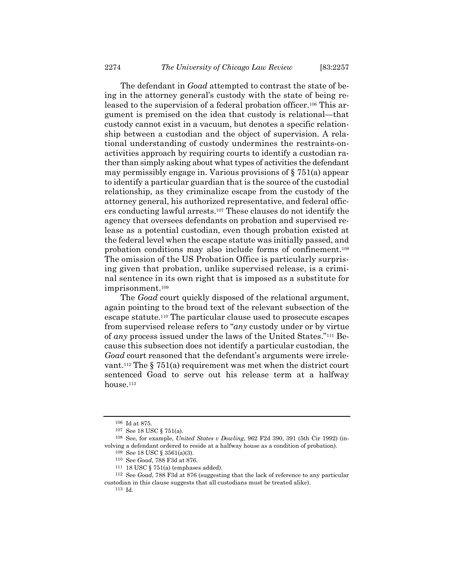The defendant in *Goad* attempted to contrast the state of being in the attorney general's custody with the state of being released to the supervision of a federal probation officer.<sup>106</sup> This argument is premised on the idea that custody is relational—that custody cannot exist in a vacuum, but denotes a specific relationship between a custodian and the object of supervision. A relational understanding of custody undermines the restraints-onactivities approach by requiring courts to identify a custodian rather than simply asking about what types of activities the defendant may permissibly engage in. Various provisions of § 751(a) appear to identify a particular guardian that is the source of the custodial relationship, as they criminalize escape from the custody of the attorney general, his authorized representative, and federal officers conducting lawful arrests.107 These clauses do not identify the agency that oversees defendants on probation and supervised release as a potential custodian, even though probation existed at the federal level when the escape statute was initially passed, and probation conditions may also include forms of confinement.<sup>108</sup> The omission of the US Probation Office is particularly surprising given that probation, unlike supervised release, is a criminal sentence in its own right that is imposed as a substitute for imprisonment.<sup>109</sup>

The *Goad* court quickly disposed of the relational argument, again pointing to the broad text of the relevant subsection of the escape statute.110 The particular clause used to prosecute escapes from supervised release refers to "any custody under or by virtue of any process issued under the laws of the United States."111 Because this subsection does not identify a particular custodian, the Goad court reasoned that the defendant's arguments were irrelevant.112 The § 751(a) requirement was met when the district court sentenced Goad to serve out his release term at a halfway house.<sup>113</sup>

<sup>106</sup> Id at 875.

<sup>107</sup> See 18 USC § 751(a).

<sup>108</sup> See, for example, United States v Dowling, 962 F2d 390, 391 (5th Cir 1992) (involving a defendant ordered to reside at a halfway house as a condition of probation).

<sup>109</sup> See 18 USC § 3561(a)(3).

<sup>110</sup> See Goad, 788 F3d at 876.

<sup>111</sup> 18 USC § 751(a) (emphases added).

<sup>112</sup> See Goad, 788 F3d at 876 (suggesting that the lack of reference to any particular custodian in this clause suggests that all custodians must be treated alike). 113 Id.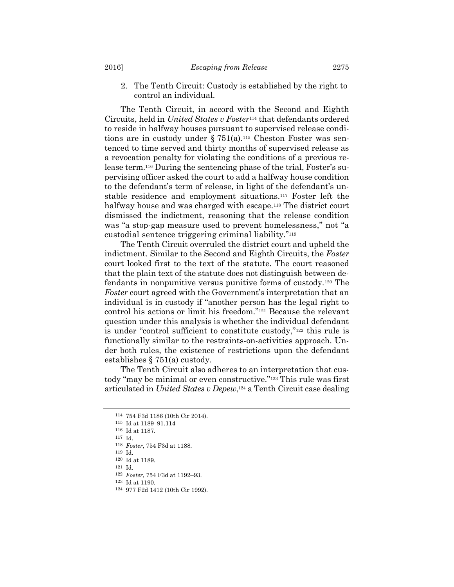2. The Tenth Circuit: Custody is established by the right to control an individual.

The Tenth Circuit, in accord with the Second and Eighth Circuits, held in United States v Foster<sup>114</sup> that defendants ordered to reside in halfway houses pursuant to supervised release conditions are in custody under  $\S 751(a)$ .<sup>115</sup> Cheston Foster was sentenced to time served and thirty months of supervised release as a revocation penalty for violating the conditions of a previous release term.116 During the sentencing phase of the trial, Foster's supervising officer asked the court to add a halfway house condition to the defendant's term of release, in light of the defendant's unstable residence and employment situations.117 Foster left the halfway house and was charged with escape.<sup>118</sup> The district court dismissed the indictment, reasoning that the release condition was "a stop-gap measure used to prevent homelessness," not "a custodial sentence triggering criminal liability."<sup>119</sup>

The Tenth Circuit overruled the district court and upheld the indictment. Similar to the Second and Eighth Circuits, the Foster court looked first to the text of the statute. The court reasoned that the plain text of the statute does not distinguish between defendants in nonpunitive versus punitive forms of custody.120 The Foster court agreed with the Government's interpretation that an individual is in custody if "another person has the legal right to control his actions or limit his freedom."121 Because the relevant question under this analysis is whether the individual defendant is under "control sufficient to constitute custody,"122 this rule is functionally similar to the restraints-on-activities approach. Under both rules, the existence of restrictions upon the defendant establishes § 751(a) custody.

The Tenth Circuit also adheres to an interpretation that custody "may be minimal or even constructive."123 This rule was first articulated in United States v Depew,<sup>124</sup> a Tenth Circuit case dealing

<sup>114</sup> 754 F3d 1186 (10th Cir 2014).

<sup>115</sup> Id at 1189–91.114

<sup>116</sup> Id at 1187.

<sup>117</sup> Id.

<sup>118</sup> Foster, 754 F3d at 1188.

<sup>119</sup> Id.

<sup>120</sup> Id at 1189.

<sup>121</sup> Id.

<sup>122</sup> Foster, 754 F3d at 1192–93.

<sup>123</sup> Id at 1190.

<sup>124</sup> 977 F2d 1412 (10th Cir 1992).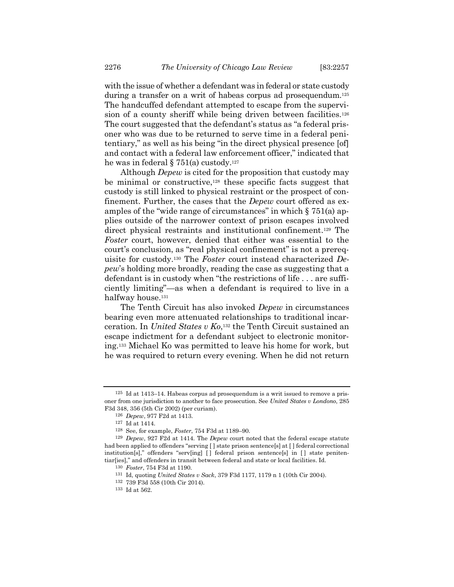with the issue of whether a defendant was in federal or state custody during a transfer on a writ of habeas corpus ad prosequendum.<sup>125</sup> The handcuffed defendant attempted to escape from the supervision of a county sheriff while being driven between facilities.<sup>126</sup> The court suggested that the defendant's status as "a federal prisoner who was due to be returned to serve time in a federal penitentiary," as well as his being "in the direct physical presence [of] and contact with a federal law enforcement officer," indicated that he was in federal  $\S 751(a)$  custody.<sup>127</sup>

Although *Depew* is cited for the proposition that custody may be minimal or constructive,128 these specific facts suggest that custody is still linked to physical restraint or the prospect of confinement. Further, the cases that the *Depew* court offered as examples of the "wide range of circumstances" in which § 751(a) applies outside of the narrower context of prison escapes involved direct physical restraints and institutional confinement.129 The Foster court, however, denied that either was essential to the court's conclusion, as "real physical confinement" is not a prerequisite for custody.130 The Foster court instead characterized Depew's holding more broadly, reading the case as suggesting that a defendant is in custody when "the restrictions of life . . . are sufficiently limiting"—as when a defendant is required to live in a halfway house.<sup>131</sup>

The Tenth Circuit has also invoked Depew in circumstances bearing even more attenuated relationships to traditional incarceration. In United States v Ko,<sup>132</sup> the Tenth Circuit sustained an escape indictment for a defendant subject to electronic monitoring.133 Michael Ko was permitted to leave his home for work, but he was required to return every evening. When he did not return

<sup>125</sup> Id at 1413–14. Habeas corpus ad prosequendum is a writ issued to remove a prisoner from one jurisdiction to another to face prosecution. See United States v Londono, 285 F3d 348, 356 (5th Cir 2002) (per curiam).

<sup>126</sup> Depew, 977 F2d at 1413.

<sup>127</sup> Id at 1414.

<sup>128</sup> See, for example, Foster, 754 F3d at 1189–90.

<sup>129</sup> Depew, 927 F2d at 1414. The Depew court noted that the federal escape statute had been applied to offenders "serving  $\lceil \cdot \rceil$  state prison sentence  $\lceil s \rceil$  at  $\lceil \cdot \rceil$  federal correctional institution[s]," offenders "serv[ing] [ ] federal prison sentence[s] in [ ] state penitentiar[ies]," and offenders in transit between federal and state or local facilities. Id.

<sup>130</sup> Foster, 754 F3d at 1190.

<sup>131</sup> Id, quoting United States v Sack, 379 F3d 1177, 1179 n 1 (10th Cir 2004).

<sup>132</sup> 739 F3d 558 (10th Cir 2014).

<sup>133</sup> Id at 562.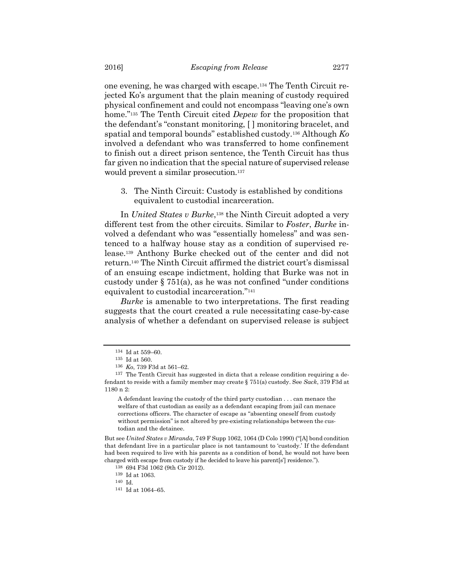one evening, he was charged with escape.134 The Tenth Circuit rejected Ko's argument that the plain meaning of custody required physical confinement and could not encompass "leaving one's own home."<sup>135</sup> The Tenth Circuit cited *Depew* for the proposition that the defendant's "constant monitoring, [ ] monitoring bracelet, and spatial and temporal bounds" established custody.<sup>136</sup> Although  $K_0$ involved a defendant who was transferred to home confinement to finish out a direct prison sentence, the Tenth Circuit has thus far given no indication that the special nature of supervised release would prevent a similar prosecution.<sup>137</sup>

3. The Ninth Circuit: Custody is established by conditions equivalent to custodial incarceration.

In United States v Burke,<sup>138</sup> the Ninth Circuit adopted a very different test from the other circuits. Similar to Foster, Burke involved a defendant who was "essentially homeless" and was sentenced to a halfway house stay as a condition of supervised release.139 Anthony Burke checked out of the center and did not return.140 The Ninth Circuit affirmed the district court's dismissal of an ensuing escape indictment, holding that Burke was not in custody under § 751(a), as he was not confined "under conditions equivalent to custodial incarceration."<sup>141</sup>

Burke is amenable to two interpretations. The first reading suggests that the court created a rule necessitating case-by-case analysis of whether a defendant on supervised release is subject

<sup>134</sup> Id at 559–60.

 $^{135}\,$  Id at 560.

<sup>136</sup> Ko, 739 F3d at 561–62.

<sup>137</sup> The Tenth Circuit has suggested in dicta that a release condition requiring a defendant to reside with a family member may create § 751(a) custody. See Sack, 379 F3d at 1180 n 2:

A defendant leaving the custody of the third party custodian . . . can menace the welfare of that custodian as easily as a defendant escaping from jail can menace corrections officers. The character of escape as "absenting oneself from custody without permission" is not altered by pre-existing relationships between the custodian and the detainee.

But see United States v Miranda, 749 F Supp 1062, 1064 (D Colo 1990) ("[A] bond condition that defendant live in a particular place is not tantamount to 'custody.' If the defendant had been required to live with his parents as a condition of bond, he would not have been charged with escape from custody if he decided to leave his parent[s'] residence.").

<sup>138</sup> 694 F3d 1062 (9th Cir 2012).

<sup>139</sup> Id at 1063.

<sup>140</sup> Id.

<sup>141</sup> Id at 1064–65.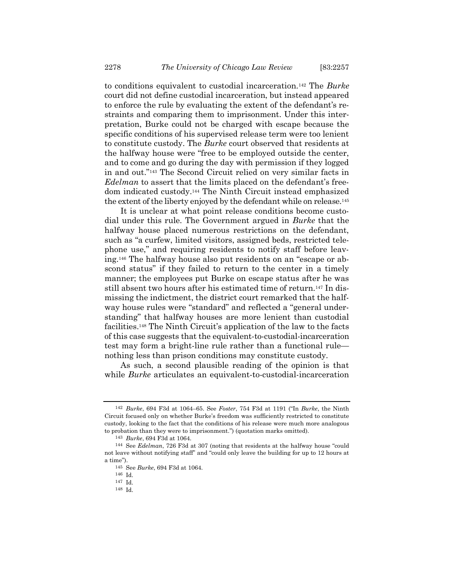to conditions equivalent to custodial incarceration.142 The Burke court did not define custodial incarceration, but instead appeared to enforce the rule by evaluating the extent of the defendant's restraints and comparing them to imprisonment. Under this interpretation, Burke could not be charged with escape because the specific conditions of his supervised release term were too lenient to constitute custody. The Burke court observed that residents at the halfway house were "free to be employed outside the center, and to come and go during the day with permission if they logged in and out."143 The Second Circuit relied on very similar facts in Edelman to assert that the limits placed on the defendant's freedom indicated custody.144 The Ninth Circuit instead emphasized the extent of the liberty enjoyed by the defendant while on release.<sup>145</sup>

It is unclear at what point release conditions become custodial under this rule. The Government argued in Burke that the halfway house placed numerous restrictions on the defendant, such as "a curfew, limited visitors, assigned beds, restricted telephone use," and requiring residents to notify staff before leaving.146 The halfway house also put residents on an "escape or abscond status" if they failed to return to the center in a timely manner; the employees put Burke on escape status after he was still absent two hours after his estimated time of return.147 In dismissing the indictment, the district court remarked that the halfway house rules were "standard" and reflected a "general understanding" that halfway houses are more lenient than custodial facilities.148 The Ninth Circuit's application of the law to the facts of this case suggests that the equivalent-to-custodial-incarceration test may form a bright-line rule rather than a functional rule nothing less than prison conditions may constitute custody.

As such, a second plausible reading of the opinion is that while *Burke* articulates an equivalent-to-custodial-incarceration

<sup>142</sup> Burke, 694 F3d at 1064–65. See Foster, 754 F3d at 1191 ("In Burke, the Ninth Circuit focused only on whether Burke's freedom was sufficiently restricted to constitute custody, looking to the fact that the conditions of his release were much more analogous to probation than they were to imprisonment.") (quotation marks omitted).

<sup>143</sup> Burke, 694 F3d at 1064.

<sup>144</sup> See Edelman, 726 F3d at 307 (noting that residents at the halfway house "could not leave without notifying staff" and "could only leave the building for up to 12 hours at a time").

<sup>145</sup> See Burke, 694 F3d at 1064.

<sup>146</sup> Id.

<sup>147</sup> Id.

<sup>148</sup> Id.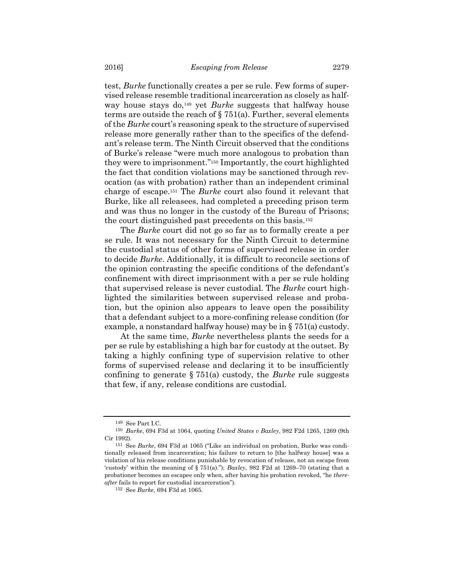test, Burke functionally creates a per se rule. Few forms of supervised release resemble traditional incarceration as closely as halfway house stays do,<sup>149</sup> yet *Burke* suggests that halfway house terms are outside the reach of  $\S 751(a)$ . Further, several elements of the Burke court's reasoning speak to the structure of supervised release more generally rather than to the specifics of the defendant's release term. The Ninth Circuit observed that the conditions of Burke's release "were much more analogous to probation than they were to imprisonment."150 Importantly, the court highlighted the fact that condition violations may be sanctioned through revocation (as with probation) rather than an independent criminal charge of escape.<sup>151</sup> The *Burke* court also found it relevant that Burke, like all releasees, had completed a preceding prison term and was thus no longer in the custody of the Bureau of Prisons; the court distinguished past precedents on this basis.<sup>152</sup>

The *Burke* court did not go so far as to formally create a per se rule. It was not necessary for the Ninth Circuit to determine the custodial status of other forms of supervised release in order to decide Burke. Additionally, it is difficult to reconcile sections of the opinion contrasting the specific conditions of the defendant's confinement with direct imprisonment with a per se rule holding that supervised release is never custodial. The Burke court highlighted the similarities between supervised release and probation, but the opinion also appears to leave open the possibility that a defendant subject to a more-confining release condition (for example, a nonstandard halfway house) may be in § 751(a) custody.

At the same time, *Burke* nevertheless plants the seeds for a per se rule by establishing a high bar for custody at the outset. By taking a highly confining type of supervision relative to other forms of supervised release and declaring it to be insufficiently confining to generate  $\S 751(a)$  custody, the *Burke* rule suggests that few, if any, release conditions are custodial.

 $149$  See Part I.C.

<sup>150</sup> Burke, 694 F3d at 1064, quoting United States v Baxley, 982 F2d 1265, 1269 (9th Cir 1992).

<sup>151</sup> See Burke, 694 F3d at 1065 ("Like an individual on probation, Burke was conditionally released from incarceration; his failure to return to [the halfway house] was a violation of his release conditions punishable by revocation of release, not an escape from 'custody' within the meaning of  $\S 751(a)$ ."); Baxley, 982 F2d at 1269–70 (stating that a probationer becomes an escapee only when, after having his probation revoked, "he thereafter fails to report for custodial incarceration").

<sup>152</sup> See Burke, 694 F3d at 1065.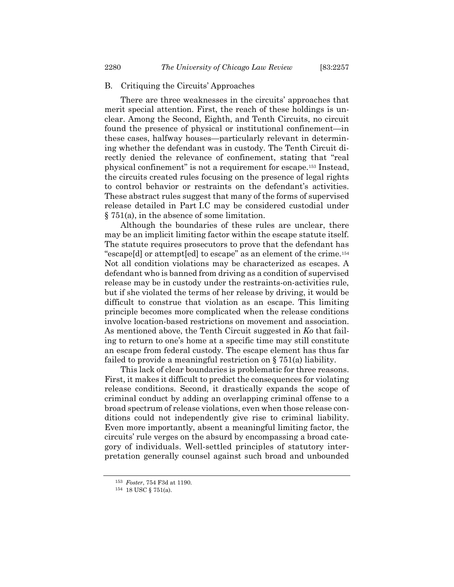#### B. Critiquing the Circuits' Approaches

There are three weaknesses in the circuits' approaches that merit special attention. First, the reach of these holdings is unclear. Among the Second, Eighth, and Tenth Circuits, no circuit found the presence of physical or institutional confinement—in these cases, halfway houses—particularly relevant in determining whether the defendant was in custody. The Tenth Circuit directly denied the relevance of confinement, stating that "real physical confinement" is not a requirement for escape.153 Instead, the circuits created rules focusing on the presence of legal rights to control behavior or restraints on the defendant's activities. These abstract rules suggest that many of the forms of supervised release detailed in Part I.C may be considered custodial under § 751(a), in the absence of some limitation.

Although the boundaries of these rules are unclear, there may be an implicit limiting factor within the escape statute itself. The statute requires prosecutors to prove that the defendant has "escape[d] or attempt[ed] to escape" as an element of the crime.<sup>154</sup> Not all condition violations may be characterized as escapes. A defendant who is banned from driving as a condition of supervised release may be in custody under the restraints-on-activities rule, but if she violated the terms of her release by driving, it would be difficult to construe that violation as an escape. This limiting principle becomes more complicated when the release conditions involve location-based restrictions on movement and association. As mentioned above, the Tenth Circuit suggested in Ko that failing to return to one's home at a specific time may still constitute an escape from federal custody. The escape element has thus far failed to provide a meaningful restriction on § 751(a) liability.

This lack of clear boundaries is problematic for three reasons. First, it makes it difficult to predict the consequences for violating release conditions. Second, it drastically expands the scope of criminal conduct by adding an overlapping criminal offense to a broad spectrum of release violations, even when those release conditions could not independently give rise to criminal liability. Even more importantly, absent a meaningful limiting factor, the circuits' rule verges on the absurd by encompassing a broad category of individuals. Well-settled principles of statutory interpretation generally counsel against such broad and unbounded

<sup>153</sup> Foster, 754 F3d at 1190.

<sup>154</sup> 18 USC § 751(a).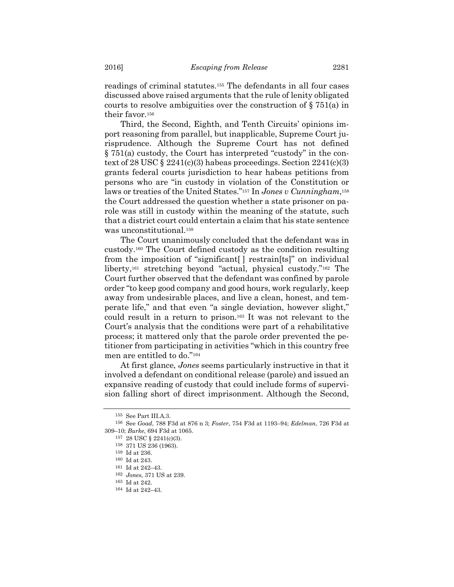readings of criminal statutes.155 The defendants in all four cases discussed above raised arguments that the rule of lenity obligated courts to resolve ambiguities over the construction of § 751(a) in their favor.<sup>156</sup>

Third, the Second, Eighth, and Tenth Circuits' opinions import reasoning from parallel, but inapplicable, Supreme Court jurisprudence. Although the Supreme Court has not defined § 751(a) custody, the Court has interpreted "custody" in the context of 28 USC  $\S 2241(c)(3)$  habeas proceedings. Section  $2241(c)(3)$ grants federal courts jurisdiction to hear habeas petitions from persons who are "in custody in violation of the Constitution or laws or treaties of the United States."<sup>157</sup> In *Jones v Cunningham*,<sup>158</sup> the Court addressed the question whether a state prisoner on parole was still in custody within the meaning of the statute, such that a district court could entertain a claim that his state sentence was unconstitutional.<sup>159</sup>

The Court unanimously concluded that the defendant was in custody.160 The Court defined custody as the condition resulting from the imposition of "significant[ ] restrain[ts]" on individual liberty,161 stretching beyond "actual, physical custody."162 The Court further observed that the defendant was confined by parole order "to keep good company and good hours, work regularly, keep away from undesirable places, and live a clean, honest, and temperate life," and that even "a single deviation, however slight," could result in a return to prison.163 It was not relevant to the Court's analysis that the conditions were part of a rehabilitative process; it mattered only that the parole order prevented the petitioner from participating in activities "which in this country free men are entitled to do."<sup>164</sup>

At first glance, Jones seems particularly instructive in that it involved a defendant on conditional release (parole) and issued an expansive reading of custody that could include forms of supervision falling short of direct imprisonment. Although the Second,

<sup>155</sup> See Part III.A.3.

<sup>156</sup> See Goad, 788 F3d at 876 n 3; Foster, 754 F3d at 1193–94; Edelman, 726 F3d at 309–10; Burke, 694 F3d at 1065.

<sup>157</sup> 28 USC § 2241(c)(3).

<sup>158</sup> 371 US 236 (1963).

 $^{\rm 159}$  Id at 236.

<sup>160</sup> Id at 243.

<sup>161</sup> Id at 242–43.

<sup>162</sup> Jones, 371 US at 239.

<sup>163</sup> Id at 242.

<sup>164</sup> Id at 242–43.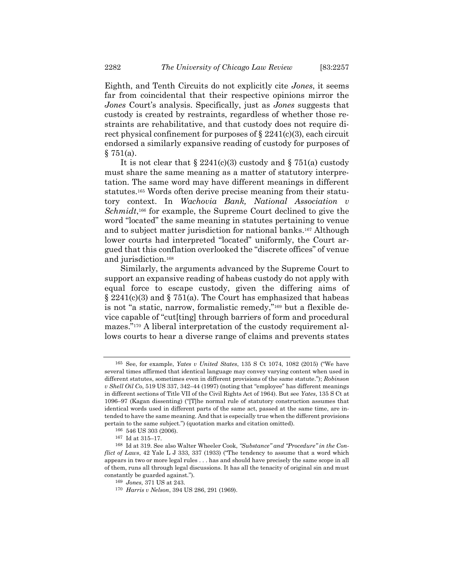Eighth, and Tenth Circuits do not explicitly cite Jones, it seems far from coincidental that their respective opinions mirror the Jones Court's analysis. Specifically, just as Jones suggests that

custody is created by restraints, regardless of whether those restraints are rehabilitative, and that custody does not require direct physical confinement for purposes of  $\S 2241(c)(3)$ , each circuit endorsed a similarly expansive reading of custody for purposes of  $§ 751(a).$ 

It is not clear that  $\S 2241(c)(3)$  custody and  $\S 751(a)$  custody must share the same meaning as a matter of statutory interpretation. The same word may have different meanings in different statutes.165 Words often derive precise meaning from their statutory context. In Wachovia Bank, National Association v Schmidt,<sup>166</sup> for example, the Supreme Court declined to give the word "located" the same meaning in statutes pertaining to venue and to subject matter jurisdiction for national banks.167 Although lower courts had interpreted "located" uniformly, the Court argued that this conflation overlooked the "discrete offices" of venue and jurisdiction.<sup>168</sup>

Similarly, the arguments advanced by the Supreme Court to support an expansive reading of habeas custody do not apply with equal force to escape custody, given the differing aims of § 2241(c)(3) and § 751(a). The Court has emphasized that habeas is not "a static, narrow, formalistic remedy,"169 but a flexible device capable of "cut[ting] through barriers of form and procedural mazes."170 A liberal interpretation of the custody requirement allows courts to hear a diverse range of claims and prevents states

<sup>165</sup> See, for example, Yates v United States, 135 S Ct 1074, 1082 (2015) ("We have several times affirmed that identical language may convey varying content when used in different statutes, sometimes even in different provisions of the same statute."); Robinson v Shell Oil Co, 519 US 337, 342–44 (1997) (noting that "employee" has different meanings in different sections of Title VII of the Civil Rights Act of 1964). But see Yates, 135 S Ct at 1096–97 (Kagan dissenting) ("[T]he normal rule of statutory construction assumes that identical words used in different parts of the same act, passed at the same time, are intended to have the same meaning. And that is especially true when the different provisions pertain to the same subject.") (quotation marks and citation omitted).

<sup>166</sup> 546 US 303 (2006).

<sup>167</sup> Id at 315–17.

<sup>168</sup> Id at 319. See also Walter Wheeler Cook, "Substance" and "Procedure" in the Conflict of Laws, 42 Yale L J 333, 337 (1933) ("The tendency to assume that a word which appears in two or more legal rules . . . has and should have precisely the same scope in all of them, runs all through legal discussions. It has all the tenacity of original sin and must constantly be guarded against.").

<sup>169</sup> Jones, 371 US at 243.

<sup>170</sup> Harris v Nelson, 394 US 286, 291 (1969).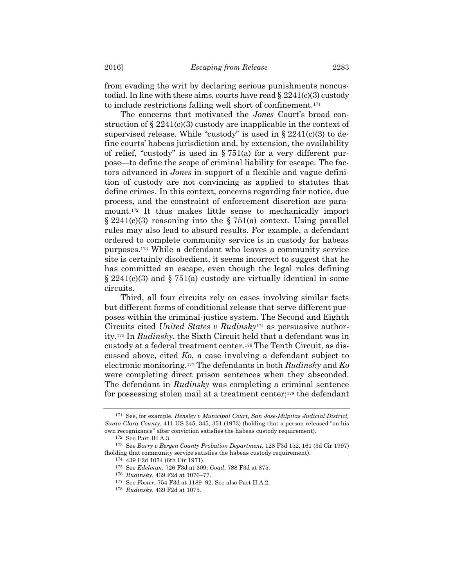from evading the writ by declaring serious punishments noncustodial. In line with these aims, courts have read  $\S 2241(c)(3)$  custody to include restrictions falling well short of confinement.<sup>171</sup>

The concerns that motivated the *Jones* Court's broad construction of  $\S 2241(c)(3)$  custody are inapplicable in the context of supervised release. While "custody" is used in  $\S 2241(c)(3)$  to define courts' habeas jurisdiction and, by extension, the availability of relief, "custody" is used in  $\S 751(a)$  for a very different purpose—to define the scope of criminal liability for escape. The factors advanced in Jones in support of a flexible and vague definition of custody are not convincing as applied to statutes that define crimes. In this context, concerns regarding fair notice, due process, and the constraint of enforcement discretion are paramount.172 It thus makes little sense to mechanically import  $\S 2241(c)(3)$  reasoning into the  $\S 751(a)$  context. Using parallel rules may also lead to absurd results. For example, a defendant ordered to complete community service is in custody for habeas purposes.173 While a defendant who leaves a community service site is certainly disobedient, it seems incorrect to suggest that he has committed an escape, even though the legal rules defining § 2241(c)(3) and § 751(a) custody are virtually identical in some circuits.

Third, all four circuits rely on cases involving similar facts but different forms of conditional release that serve different purposes within the criminal-justice system. The Second and Eighth Circuits cited United States v Rudinsky<sup>174</sup> as persuasive authority.175 In Rudinsky, the Sixth Circuit held that a defendant was in custody at a federal treatment center.176 The Tenth Circuit, as discussed above, cited Ko, a case involving a defendant subject to electronic monitoring.177 The defendants in both Rudinsky and Ko were completing direct prison sentences when they absconded. The defendant in Rudinsky was completing a criminal sentence for possessing stolen mail at a treatment center;178 the defendant

<sup>171</sup> See, for example, Hensley v Municipal Court, San Jose-Milpitas Judicial District, Santa Clara County, 411 US 345, 345, 351 (1973) (holding that a person released "on his own recognizance" after conviction satisfies the habeas custody requirement).

<sup>172</sup> See Part III.A.3.

<sup>173</sup> See Barry v Bergen County Probation Department, 128 F3d 152, 161 (3d Cir 1997) (holding that community service satisfies the habeas custody requirement).

<sup>174</sup> 439 F2d 1074 (6th Cir 1971).

<sup>175</sup> See Edelman, 726 F3d at 309; Goad, 788 F3d at 875.

<sup>176</sup> Rudinsky, 439 F2d at 1076–77.

<sup>177</sup> See Foster, 754 F3d at 1189–92. See also Part II.A.2.

<sup>178</sup> Rudinsky, 439 F2d at 1075.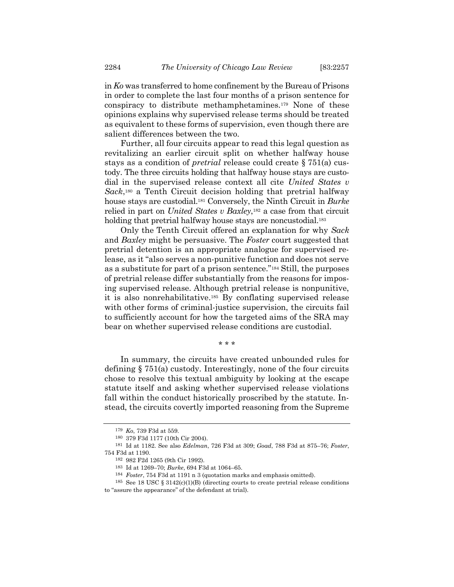in Ko was transferred to home confinement by the Bureau of Prisons in order to complete the last four months of a prison sentence for conspiracy to distribute methamphetamines.179 None of these opinions explains why supervised release terms should be treated as equivalent to these forms of supervision, even though there are salient differences between the two.

Further, all four circuits appear to read this legal question as revitalizing an earlier circuit split on whether halfway house stays as a condition of pretrial release could create § 751(a) custody. The three circuits holding that halfway house stays are custodial in the supervised release context all cite United States v Sack,<sup>180</sup> a Tenth Circuit decision holding that pretrial halfway house stays are custodial.<sup>181</sup> Conversely, the Ninth Circuit in Burke relied in part on United States v Baxley,<sup>182</sup> a case from that circuit holding that pretrial halfway house stays are noncustodial.<sup>183</sup>

Only the Tenth Circuit offered an explanation for why Sack and Baxley might be persuasive. The Foster court suggested that pretrial detention is an appropriate analogue for supervised release, as it "also serves a non-punitive function and does not serve as a substitute for part of a prison sentence."184 Still, the purposes of pretrial release differ substantially from the reasons for imposing supervised release. Although pretrial release is nonpunitive, it is also nonrehabilitative.185 By conflating supervised release with other forms of criminal-justice supervision, the circuits fail to sufficiently account for how the targeted aims of the SRA may bear on whether supervised release conditions are custodial.

In summary, the circuits have created unbounded rules for defining § 751(a) custody. Interestingly, none of the four circuits chose to resolve this textual ambiguity by looking at the escape statute itself and asking whether supervised release violations fall within the conduct historically proscribed by the statute. Instead, the circuits covertly imported reasoning from the Supreme

\* \* \*

<sup>179</sup> Ko, 739 F3d at 559.

<sup>180</sup> 379 F3d 1177 (10th Cir 2004).

<sup>181</sup> Id at 1182. See also Edelman, 726 F3d at 309; Goad, 788 F3d at 875–76; Foster, 754 F3d at 1190.

<sup>182</sup> 982 F2d 1265 (9th Cir 1992).

<sup>183</sup> Id at 1269–70; Burke, 694 F3d at 1064–65.

<sup>184</sup> Foster, 754 F3d at 1191 n 3 (quotation marks and emphasis omitted).

<sup>185</sup> See 18 USC § 3142(c)(1)(B) (directing courts to create pretrial release conditions to "assure the appearance" of the defendant at trial).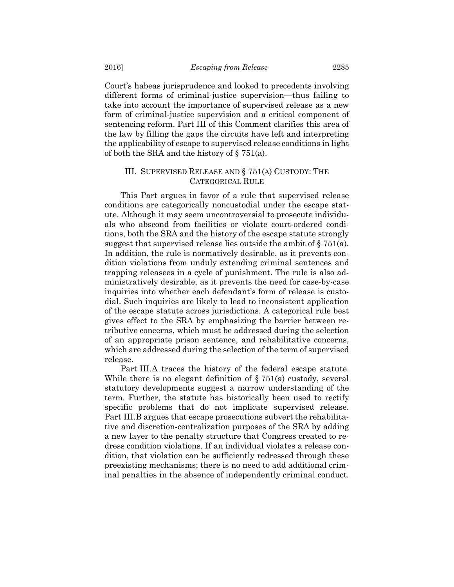Court's habeas jurisprudence and looked to precedents involving different forms of criminal-justice supervision—thus failing to take into account the importance of supervised release as a new form of criminal-justice supervision and a critical component of sentencing reform. Part III of this Comment clarifies this area of the law by filling the gaps the circuits have left and interpreting the applicability of escape to supervised release conditions in light of both the SRA and the history of  $\S 751(a)$ .

# III. SUPERVISED RELEASE AND § 751(A) CUSTODY: THE CATEGORICAL RULE

This Part argues in favor of a rule that supervised release conditions are categorically noncustodial under the escape statute. Although it may seem uncontroversial to prosecute individuals who abscond from facilities or violate court-ordered conditions, both the SRA and the history of the escape statute strongly suggest that supervised release lies outside the ambit of § 751(a). In addition, the rule is normatively desirable, as it prevents condition violations from unduly extending criminal sentences and trapping releasees in a cycle of punishment. The rule is also administratively desirable, as it prevents the need for case-by-case inquiries into whether each defendant's form of release is custodial. Such inquiries are likely to lead to inconsistent application of the escape statute across jurisdictions. A categorical rule best gives effect to the SRA by emphasizing the barrier between retributive concerns, which must be addressed during the selection of an appropriate prison sentence, and rehabilitative concerns, which are addressed during the selection of the term of supervised release.

Part III.A traces the history of the federal escape statute. While there is no elegant definition of § 751(a) custody, several statutory developments suggest a narrow understanding of the term. Further, the statute has historically been used to rectify specific problems that do not implicate supervised release. Part III.B argues that escape prosecutions subvert the rehabilitative and discretion-centralization purposes of the SRA by adding a new layer to the penalty structure that Congress created to redress condition violations. If an individual violates a release condition, that violation can be sufficiently redressed through these preexisting mechanisms; there is no need to add additional criminal penalties in the absence of independently criminal conduct.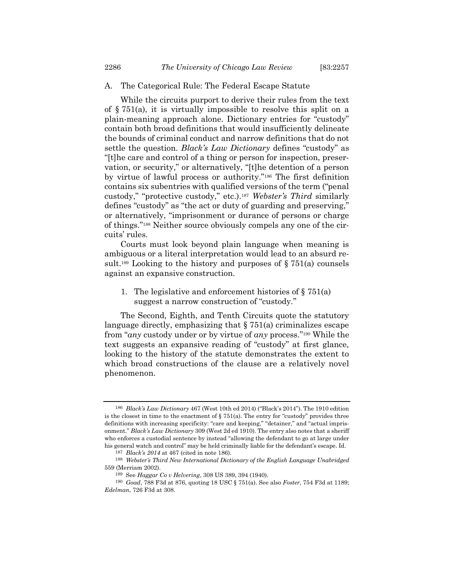#### A. The Categorical Rule: The Federal Escape Statute

While the circuits purport to derive their rules from the text of § 751(a), it is virtually impossible to resolve this split on a plain-meaning approach alone. Dictionary entries for "custody" contain both broad definitions that would insufficiently delineate the bounds of criminal conduct and narrow definitions that do not settle the question. Black's Law Dictionary defines "custody" as "[t]he care and control of a thing or person for inspection, preservation, or security," or alternatively, "[t]he detention of a person by virtue of lawful process or authority."186 The first definition contains six subentries with qualified versions of the term ("penal custody," "protective custody," etc.).<sup>187</sup> Webster's Third similarly defines "custody" as "the act or duty of guarding and preserving," or alternatively, "imprisonment or durance of persons or charge of things."188 Neither source obviously compels any one of the circuits' rules.

Courts must look beyond plain language when meaning is ambiguous or a literal interpretation would lead to an absurd result.<sup>189</sup> Looking to the history and purposes of  $\S 751(a)$  counsels against an expansive construction.

1. The legislative and enforcement histories of  $\S 751(a)$ suggest a narrow construction of "custody."

The Second, Eighth, and Tenth Circuits quote the statutory language directly, emphasizing that  $\S 751(a)$  criminalizes escape from "any custody under or by virtue of any process."190 While the text suggests an expansive reading of "custody" at first glance, looking to the history of the statute demonstrates the extent to which broad constructions of the clause are a relatively novel phenomenon.

<sup>186</sup> Black's Law Dictionary 467 (West 10th ed 2014) ("Black's 2014"). The 1910 edition is the closest in time to the enactment of  $\S 751(a)$ . The entry for "custody" provides three definitions with increasing specificity: "care and keeping," "detainer," and "actual imprisonment." Black's Law Dictionary 309 (West 2d ed 1910). The entry also notes that a sheriff who enforces a custodial sentence by instead "allowing the defendant to go at large under his general watch and control" may be held criminally liable for the defendant's escape. Id.

<sup>187</sup> Black's 2014 at 467 (cited in note 186).

<sup>188</sup> Webster's Third New International Dictionary of the English Language Unabridged 559 (Merriam 2002).

<sup>189</sup> See Haggar Co v Helvering, 308 US 389, 394 (1940).

<sup>190</sup> Goad, 788 F3d at 876, quoting 18 USC § 751(a). See also Foster, 754 F3d at 1189; Edelman, 726 F3d at 308.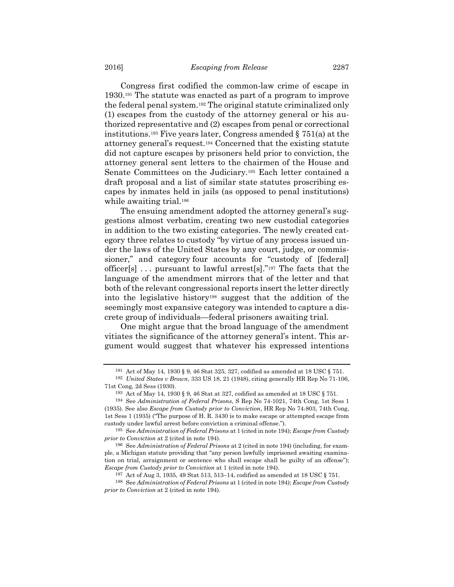Congress first codified the common-law crime of escape in 1930.191 The statute was enacted as part of a program to improve the federal penal system.192 The original statute criminalized only (1) escapes from the custody of the attorney general or his authorized representative and (2) escapes from penal or correctional institutions.193 Five years later, Congress amended § 751(a) at the attorney general's request.194 Concerned that the existing statute did not capture escapes by prisoners held prior to conviction, the attorney general sent letters to the chairmen of the House and Senate Committees on the Judiciary.195 Each letter contained a draft proposal and a list of similar state statutes proscribing escapes by inmates held in jails (as opposed to penal institutions) while awaiting trial.<sup>196</sup>

The ensuing amendment adopted the attorney general's suggestions almost verbatim, creating two new custodial categories in addition to the two existing categories. The newly created category three relates to custody "by virtue of any process issued under the laws of the United States by any court, judge, or commissioner," and category four accounts for "custody of [federal] officer[s] . . . pursuant to lawful arrest[s]."197 The facts that the language of the amendment mirrors that of the letter and that both of the relevant congressional reports insert the letter directly into the legislative history198 suggest that the addition of the seemingly most expansive category was intended to capture a discrete group of individuals—federal prisoners awaiting trial.

One might argue that the broad language of the amendment vitiates the significance of the attorney general's intent. This argument would suggest that whatever his expressed intentions

<sup>191</sup> Act of May 14, 1930 § 9, 46 Stat 325, 327, codified as amended at 18 USC § 751.

<sup>192</sup> United States v Brown, 333 US 18, 21 (1948), citing generally HR Rep No 71-106, 71st Cong, 2d Sess (1930).

<sup>193</sup> Act of May 14, 1930 § 9, 46 Stat at 327, codified as amended at 18 USC § 751.

<sup>194</sup> See Administration of Federal Prisons, S Rep No 74-1021, 74th Cong, 1st Sess 1 (1935). See also Escape from Custody prior to Conviction, HR Rep No 74-803, 74th Cong, 1st Sess 1 (1935) ("The purpose of H. R. 3430 is to make escape or attempted escape from custody under lawful arrest before conviction a criminal offense.").

<sup>195</sup> See Administration of Federal Prisons at 1 (cited in note 194); Escape from Custody prior to Conviction at 2 (cited in note 194).

<sup>196</sup> See Administration of Federal Prisons at 2 (cited in note 194) (including, for example, a Michigan statute providing that "any person lawfully imprisoned awaiting examination on trial, arraignment or sentence who shall escape shall be guilty of an offense"); Escape from Custody prior to Conviction at 1 (cited in note 194).

<sup>197</sup> Act of Aug 3, 1935, 49 Stat 513, 513–14, codified as amended at 18 USC § 751.

<sup>198</sup> See Administration of Federal Prisons at 1 (cited in note 194); Escape from Custody prior to Conviction at 2 (cited in note 194).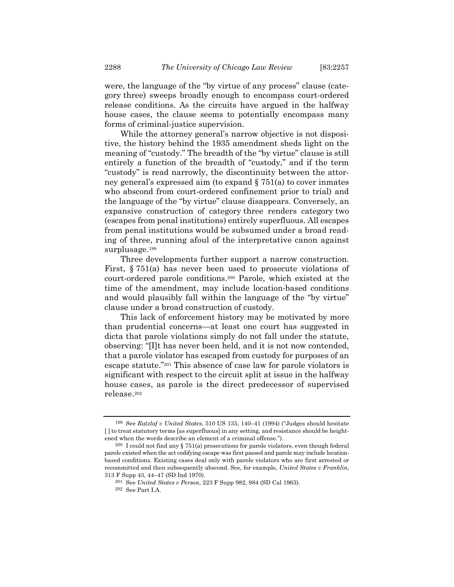were, the language of the "by virtue of any process" clause (category three) sweeps broadly enough to encompass court-ordered release conditions. As the circuits have argued in the halfway house cases, the clause seems to potentially encompass many forms of criminal-justice supervision.

While the attorney general's narrow objective is not dispositive, the history behind the 1935 amendment sheds light on the meaning of "custody." The breadth of the "by virtue" clause is still entirely a function of the breadth of "custody," and if the term "custody" is read narrowly, the discontinuity between the attorney general's expressed aim (to expand § 751(a) to cover inmates who abscond from court-ordered confinement prior to trial) and the language of the "by virtue" clause disappears. Conversely, an expansive construction of category three renders category two (escapes from penal institutions) entirely superfluous. All escapes from penal institutions would be subsumed under a broad reading of three, running afoul of the interpretative canon against surplusage.<sup>199</sup>

Three developments further support a narrow construction. First, § 751(a) has never been used to prosecute violations of court-ordered parole conditions.200 Parole, which existed at the time of the amendment, may include location-based conditions and would plausibly fall within the language of the "by virtue" clause under a broad construction of custody.

This lack of enforcement history may be motivated by more than prudential concerns—at least one court has suggested in dicta that parole violations simply do not fall under the statute, observing: "[I]t has never been held, and it is not now contended, that a parole violator has escaped from custody for purposes of an escape statute."201 This absence of case law for parole violators is significant with respect to the circuit split at issue in the halfway house cases, as parole is the direct predecessor of supervised release.<sup>202</sup>

<sup>199</sup> See Ratzlaf v United States, 510 US 135, 140–41 (1994) ("Judges should hesitate [ ] to treat statutory terms [as superfluous] in any setting, and resistance should be heightened when the words describe an element of a criminal offense.").

<sup>&</sup>lt;sup>200</sup> I could not find any  $\S$  751(a) prosecutions for parole violators, even though federal parole existed when the act codifying escape was first passed and parole may include locationbased conditions. Existing cases deal only with parole violators who are first arrested or recommitted and then subsequently abscond. See, for example, United States v Franklin, 313 F Supp 43, 44–47 (SD Ind 1970).

<sup>201</sup> See United States v Person, 223 F Supp 982, 984 (SD Cal 1963).

<sup>202</sup> See Part I.A.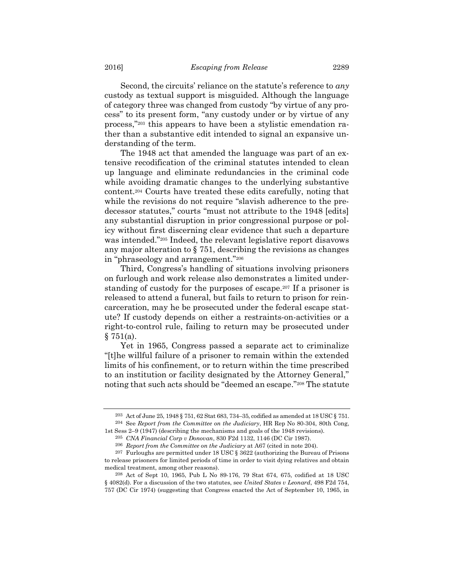Second, the circuits' reliance on the statute's reference to *any* custody as textual support is misguided. Although the language of category three was changed from custody "by virtue of any process" to its present form, "any custody under or by virtue of any process,"203 this appears to have been a stylistic emendation rather than a substantive edit intended to signal an expansive understanding of the term.

The 1948 act that amended the language was part of an extensive recodification of the criminal statutes intended to clean up language and eliminate redundancies in the criminal code while avoiding dramatic changes to the underlying substantive content.204 Courts have treated these edits carefully, noting that while the revisions do not require "slavish adherence to the predecessor statutes," courts "must not attribute to the 1948 [edits] any substantial disruption in prior congressional purpose or policy without first discerning clear evidence that such a departure was intended."205 Indeed, the relevant legislative report disavows any major alteration to § 751, describing the revisions as changes in "phraseology and arrangement."<sup>206</sup>

Third, Congress's handling of situations involving prisoners on furlough and work release also demonstrates a limited understanding of custody for the purposes of escape.207 If a prisoner is released to attend a funeral, but fails to return to prison for reincarceration, may he be prosecuted under the federal escape statute? If custody depends on either a restraints-on-activities or a right-to-control rule, failing to return may be prosecuted under  $§ 751(a).$ 

Yet in 1965, Congress passed a separate act to criminalize "[t]he willful failure of a prisoner to remain within the extended limits of his confinement, or to return within the time prescribed to an institution or facility designated by the Attorney General," noting that such acts should be "deemed an escape."<sup>208</sup> The statute

<sup>203</sup> Act of June 25, 1948 § 751, 62 Stat 683, 734–35, codified as amended at 18 USC § 751. 204 See Report from the Committee on the Judiciary, HR Rep No 80-304, 80th Cong,

<sup>1</sup>st Sess 2–9 (1947) (describing the mechanisms and goals of the 1948 revisions).

<sup>205</sup> CNA Financial Corp v Donovan, 830 F2d 1132, 1146 (DC Cir 1987).

 $206$  Report from the Committee on the Judiciary at A67 (cited in note 204).

 $^{207}$  Furloughs are permitted under 18 USC  $\S~3622$  (authorizing the Bureau of Prisons to release prisoners for limited periods of time in order to visit dying relatives and obtain medical treatment, among other reasons).

<sup>208</sup> Act of Sept 10, 1965, Pub L No 89-176, 79 Stat 674, 675, codified at 18 USC § 4082(d). For a discussion of the two statutes, see United States v Leonard, 498 F2d 754, 757 (DC Cir 1974) (suggesting that Congress enacted the Act of September 10, 1965, in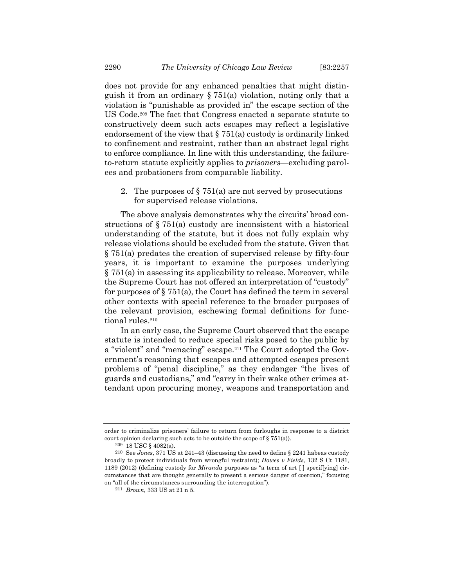does not provide for any enhanced penalties that might distinguish it from an ordinary § 751(a) violation, noting only that a violation is "punishable as provided in" the escape section of the US Code.209 The fact that Congress enacted a separate statute to constructively deem such acts escapes may reflect a legislative endorsement of the view that  $\S 751(a)$  custody is ordinarily linked to confinement and restraint, rather than an abstract legal right to enforce compliance. In line with this understanding, the failureto-return statute explicitly applies to prisoners—excluding parolees and probationers from comparable liability.

2. The purposes of  $\S 751(a)$  are not served by prosecutions for supervised release violations.

The above analysis demonstrates why the circuits' broad constructions of § 751(a) custody are inconsistent with a historical understanding of the statute, but it does not fully explain why release violations should be excluded from the statute. Given that § 751(a) predates the creation of supervised release by fifty-four years, it is important to examine the purposes underlying § 751(a) in assessing its applicability to release. Moreover, while the Supreme Court has not offered an interpretation of "custody" for purposes of § 751(a), the Court has defined the term in several other contexts with special reference to the broader purposes of the relevant provision, eschewing formal definitions for functional rules.<sup>210</sup>

In an early case, the Supreme Court observed that the escape statute is intended to reduce special risks posed to the public by a "violent" and "menacing" escape.211 The Court adopted the Government's reasoning that escapes and attempted escapes present problems of "penal discipline," as they endanger "the lives of guards and custodians," and "carry in their wake other crimes attendant upon procuring money, weapons and transportation and

order to criminalize prisoners' failure to return from furloughs in response to a district court opinion declaring such acts to be outside the scope of  $\S 751(a)$ .

<sup>209</sup> 18 USC § 4082(a).

<sup>210</sup> See Jones, 371 US at 241–43 (discussing the need to define § 2241 habeas custody broadly to protect individuals from wrongful restraint); Howes v Fields, 132 S Ct 1181, 1189 (2012) (defining custody for *Miranda* purposes as "a term of art  $\lceil \cdot \rceil$  specif[ying] circumstances that are thought generally to present a serious danger of coercion," focusing on "all of the circumstances surrounding the interrogation").

<sup>211</sup> Brown, 333 US at 21 n 5.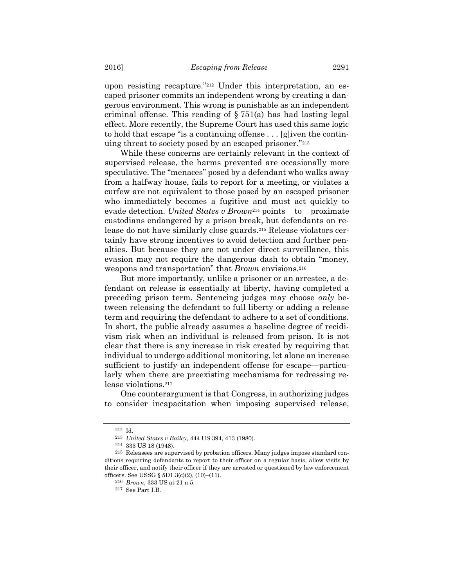upon resisting recapture."<sup>212</sup> Under this interpretation, an escaped prisoner commits an independent wrong by creating a dangerous environment. This wrong is punishable as an independent criminal offense. This reading of § 751(a) has had lasting legal effect. More recently, the Supreme Court has used this same logic to hold that escape "is a continuing offense . . . [g]iven the continuing threat to society posed by an escaped prisoner."<sup>213</sup>

While these concerns are certainly relevant in the context of supervised release, the harms prevented are occasionally more speculative. The "menaces" posed by a defendant who walks away from a halfway house, fails to report for a meeting, or violates a curfew are not equivalent to those posed by an escaped prisoner who immediately becomes a fugitive and must act quickly to evade detection. United States v Brown<sup>214</sup> points to proximate custodians endangered by a prison break, but defendants on release do not have similarly close guards.215 Release violators certainly have strong incentives to avoid detection and further penalties. But because they are not under direct surveillance, this evasion may not require the dangerous dash to obtain "money, weapons and transportation" that Brown envisions.<sup>216</sup>

But more importantly, unlike a prisoner or an arrestee, a defendant on release is essentially at liberty, having completed a preceding prison term. Sentencing judges may choose only between releasing the defendant to full liberty or adding a release term and requiring the defendant to adhere to a set of conditions. In short, the public already assumes a baseline degree of recidivism risk when an individual is released from prison. It is not clear that there is any increase in risk created by requiring that individual to undergo additional monitoring, let alone an increase sufficient to justify an independent offense for escape—particularly when there are preexisting mechanisms for redressing release violations.<sup>217</sup>

One counterargument is that Congress, in authorizing judges to consider incapacitation when imposing supervised release,

<sup>212</sup> Id.

<sup>213</sup> United States v Bailey, 444 US 394, 413 (1980).

<sup>214</sup> 333 US 18 (1948).

<sup>215</sup> Releasees are supervised by probation officers. Many judges impose standard conditions requiring defendants to report to their officer on a regular basis, allow visits by their officer, and notify their officer if they are arrested or questioned by law enforcement officers. See USSG § 5D1.3(c)(2), (10)–(11).

<sup>216</sup> Brown, 333 US at 21 n 5.

<sup>217</sup> See Part I.B.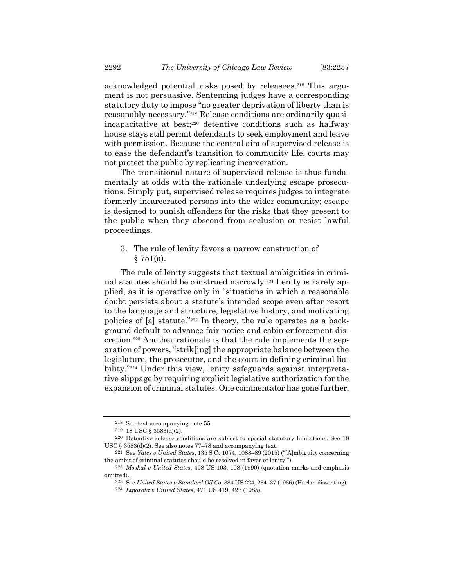acknowledged potential risks posed by releasees.218 This argument is not persuasive. Sentencing judges have a corresponding statutory duty to impose "no greater deprivation of liberty than is reasonably necessary."219 Release conditions are ordinarily quasiincapacitative at best;220 detentive conditions such as halfway house stays still permit defendants to seek employment and leave with permission. Because the central aim of supervised release is to ease the defendant's transition to community life, courts may not protect the public by replicating incarceration.

The transitional nature of supervised release is thus fundamentally at odds with the rationale underlying escape prosecutions. Simply put, supervised release requires judges to integrate formerly incarcerated persons into the wider community; escape is designed to punish offenders for the risks that they present to the public when they abscond from seclusion or resist lawful proceedings.

3. The rule of lenity favors a narrow construction of  $§ 751(a).$ 

The rule of lenity suggests that textual ambiguities in criminal statutes should be construed narrowly.221 Lenity is rarely applied, as it is operative only in "situations in which a reasonable doubt persists about a statute's intended scope even after resort to the language and structure, legislative history, and motivating policies of [a] statute."222 In theory, the rule operates as a background default to advance fair notice and cabin enforcement discretion.223 Another rationale is that the rule implements the separation of powers, "strik[ing] the appropriate balance between the legislature, the prosecutor, and the court in defining criminal liability."224 Under this view, lenity safeguards against interpretative slippage by requiring explicit legislative authorization for the expansion of criminal statutes. One commentator has gone further,

<sup>218</sup> See text accompanying note 55.

<sup>219</sup> 18 USC § 3583(d)(2).

<sup>220</sup> Detentive release conditions are subject to special statutory limitations. See 18 USC § 3583(d)(2). See also notes 77–78 and accompanying text.

<sup>221</sup> See Yates v United States, 135 S Ct 1074, 1088–89 (2015) ("[A]mbiguity concerning the ambit of criminal statutes should be resolved in favor of lenity.").

 $222$  Moskal v United States, 498 US 103, 108 (1990) (quotation marks and emphasis omitted).

<sup>223</sup> See United States v Standard Oil Co, 384 US 224, 234–37 (1966) (Harlan dissenting).

<sup>224</sup> Liparota v United States, 471 US 419, 427 (1985).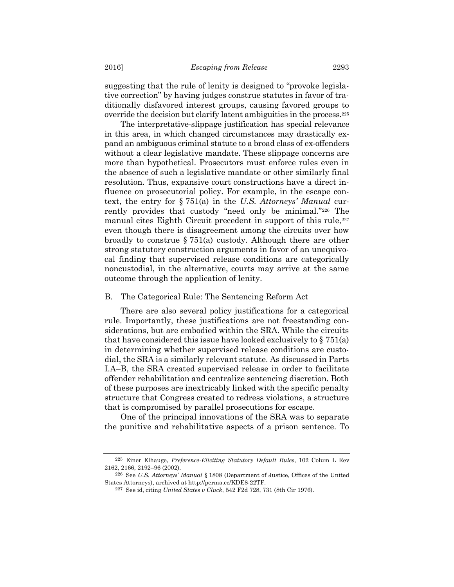suggesting that the rule of lenity is designed to "provoke legislative correction" by having judges construe statutes in favor of traditionally disfavored interest groups, causing favored groups to override the decision but clarify latent ambiguities in the process.<sup>225</sup>

The interpretative-slippage justification has special relevance in this area, in which changed circumstances may drastically expand an ambiguous criminal statute to a broad class of ex-offenders without a clear legislative mandate. These slippage concerns are more than hypothetical. Prosecutors must enforce rules even in the absence of such a legislative mandate or other similarly final resolution. Thus, expansive court constructions have a direct influence on prosecutorial policy. For example, in the escape context, the entry for  $\S 751(a)$  in the U.S. Attorneys' Manual currently provides that custody "need only be minimal."226 The manual cites Eighth Circuit precedent in support of this rule,<sup>227</sup> even though there is disagreement among the circuits over how broadly to construe § 751(a) custody. Although there are other strong statutory construction arguments in favor of an unequivocal finding that supervised release conditions are categorically noncustodial, in the alternative, courts may arrive at the same outcome through the application of lenity.

# B. The Categorical Rule: The Sentencing Reform Act

There are also several policy justifications for a categorical rule. Importantly, these justifications are not freestanding considerations, but are embodied within the SRA. While the circuits that have considered this issue have looked exclusively to  $\S 751(a)$ in determining whether supervised release conditions are custodial, the SRA is a similarly relevant statute. As discussed in Parts I.A–B, the SRA created supervised release in order to facilitate offender rehabilitation and centralize sentencing discretion. Both of these purposes are inextricably linked with the specific penalty structure that Congress created to redress violations, a structure that is compromised by parallel prosecutions for escape.

One of the principal innovations of the SRA was to separate the punitive and rehabilitative aspects of a prison sentence. To

<sup>225</sup> Einer Elhauge, Preference-Eliciting Statutory Default Rules, 102 Colum L Rev 2162, 2166, 2192–96 (2002).

<sup>226</sup> See U.S. Attorneys' Manual § 1808 (Department of Justice, Offices of the United States Attorneys), archived at http://perma.cc/KDE8-22TF.

 $227$  See id, citing United States v Cluck, 542 F2d 728, 731 (8th Cir 1976).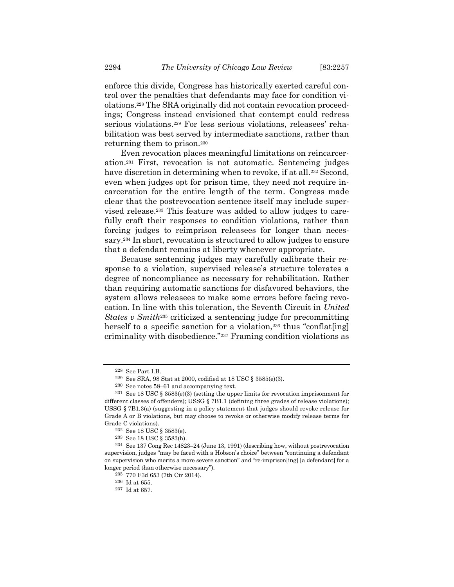enforce this divide, Congress has historically exerted careful control over the penalties that defendants may face for condition violations.228 The SRA originally did not contain revocation proceedings; Congress instead envisioned that contempt could redress serious violations.<sup>229</sup> For less serious violations, releasees' rehabilitation was best served by intermediate sanctions, rather than returning them to prison.<sup>230</sup>

Even revocation places meaningful limitations on reincarceration.231 First, revocation is not automatic. Sentencing judges have discretion in determining when to revoke, if at all.<sup>232</sup> Second, even when judges opt for prison time, they need not require incarceration for the entire length of the term. Congress made clear that the postrevocation sentence itself may include supervised release.233 This feature was added to allow judges to carefully craft their responses to condition violations, rather than forcing judges to reimprison releasees for longer than necessary.234 In short, revocation is structured to allow judges to ensure that a defendant remains at liberty whenever appropriate.

Because sentencing judges may carefully calibrate their response to a violation, supervised release's structure tolerates a degree of noncompliance as necessary for rehabilitation. Rather than requiring automatic sanctions for disfavored behaviors, the system allows releasees to make some errors before facing revocation. In line with this toleration, the Seventh Circuit in United States v Smith<sup>235</sup> criticized a sentencing judge for precommitting herself to a specific sanction for a violation,<sup>236</sup> thus "conflat[ing] criminality with disobedience."237 Framing condition violations as

<sup>228</sup> See Part I.B.

<sup>229</sup> See SRA, 98 Stat at 2000, codified at 18 USC § 3585(e)(3).

<sup>230</sup> See notes 58–61 and accompanying text.

<sup>231</sup> See 18 USC § 3583(e)(3) (setting the upper limits for revocation imprisonment for different classes of offenders); USSG § 7B1.1 (defining three grades of release violations); USSG § 7B1.3(a) (suggesting in a policy statement that judges should revoke release for Grade A or B violations, but may choose to revoke or otherwise modify release terms for Grade C violations).

<sup>232</sup> See 18 USC § 3583(e).

<sup>233</sup> See 18 USC § 3583(h).

<sup>234</sup> See 137 Cong Rec 14823–24 (June 13, 1991) (describing how, without postrevocation supervision, judges "may be faced with a Hobson's choice" between "continuing a defendant on supervision who merits a more severe sanction" and "re-imprison[ing] [a defendant] for a longer period than otherwise necessary").

<sup>235</sup> 770 F3d 653 (7th Cir 2014).

 $^{236}\,$  Id at 655.

<sup>237</sup> Id at 657.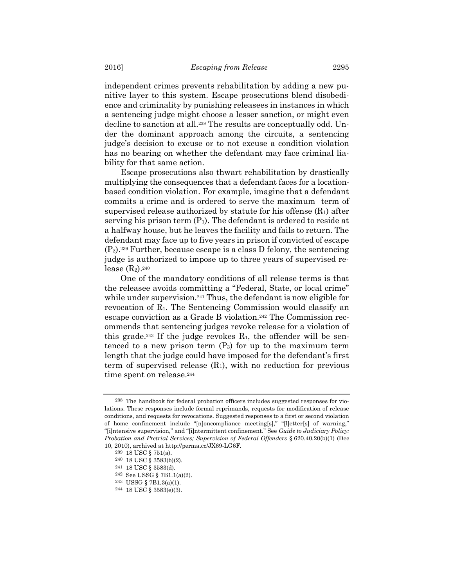independent crimes prevents rehabilitation by adding a new punitive layer to this system. Escape prosecutions blend disobedience and criminality by punishing releasees in instances in which a sentencing judge might choose a lesser sanction, or might even decline to sanction at all.<sup>238</sup> The results are conceptually odd. Under the dominant approach among the circuits, a sentencing judge's decision to excuse or to not excuse a condition violation has no bearing on whether the defendant may face criminal liability for that same action.

Escape prosecutions also thwart rehabilitation by drastically multiplying the consequences that a defendant faces for a locationbased condition violation. For example, imagine that a defendant commits a crime and is ordered to serve the maximum term of supervised release authorized by statute for his offense  $(R_1)$  after serving his prison term  $(P_1)$ . The defendant is ordered to reside at a halfway house, but he leaves the facility and fails to return. The defendant may face up to five years in prison if convicted of escape  $(P_2)$ .<sup>239</sup> Further, because escape is a class D felony, the sentencing judge is authorized to impose up to three years of supervised release  $(R_2)$ . 240

One of the mandatory conditions of all release terms is that the releasee avoids committing a "Federal, State, or local crime" while under supervision.<sup>241</sup> Thus, the defendant is now eligible for revocation of R1. The Sentencing Commission would classify an escape conviction as a Grade B violation.242 The Commission recommends that sentencing judges revoke release for a violation of this grade.<sup>243</sup> If the judge revokes  $R_1$ , the offender will be sentenced to a new prison term  $(P_3)$  for up to the maximum term length that the judge could have imposed for the defendant's first term of supervised release  $(R_1)$ , with no reduction for previous time spent on release.<sup>244</sup>

<sup>238</sup> The handbook for federal probation officers includes suggested responses for violations. These responses include formal reprimands, requests for modification of release conditions, and requests for revocations. Suggested responses to a first or second violation of home confinement include "[n]oncompliance meeting[s]," "[l]etter[s] of warning," "[i]ntensive supervision," and "[i]ntermittent confinement." See Guide to Judiciary Policy: Probation and Pretrial Services; Supervision of Federal Offenders § 620.40.20(b)(1) (Dec 10, 2010), archived at http://perma.cc/JX69-LG6F.

<sup>239</sup> 18 USC § 751(a).

<sup>240</sup> 18 USC § 3583(b)(2).

<sup>241</sup> 18 USC § 3583(d).

<sup>242</sup> See USSG § 7B1.1(a)(2).

<sup>243</sup> USSG § 7B1.3(a)(1).

<sup>244</sup> 18 USC § 3583(e)(3).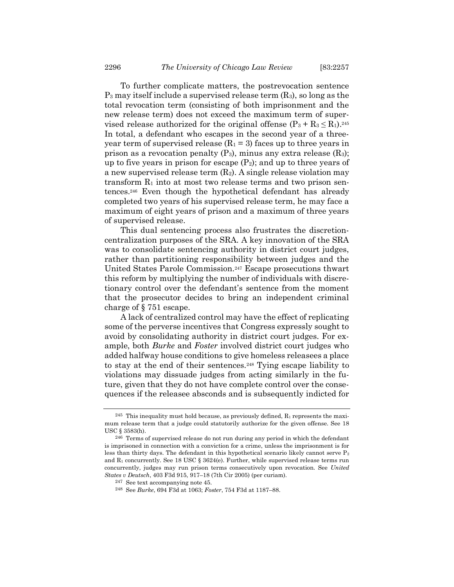To further complicate matters, the postrevocation sentence  $P_3$  may itself include a supervised release term  $(R_3)$ , so long as the total revocation term (consisting of both imprisonment and the new release term) does not exceed the maximum term of supervised release authorized for the original offense  $(P_3 + R_3 \le R_1).^{245}$ In total, a defendant who escapes in the second year of a threeyear term of supervised release  $(R_1 = 3)$  faces up to three years in prison as a revocation penalty  $(P_3)$ , minus any extra release  $(R_3)$ ; up to five years in prison for escape  $(P_2)$ ; and up to three years of a new supervised release term  $(R_2)$ . A single release violation may transform  $R_1$  into at most two release terms and two prison sentences.246 Even though the hypothetical defendant has already completed two years of his supervised release term, he may face a maximum of eight years of prison and a maximum of three years of supervised release.

This dual sentencing process also frustrates the discretioncentralization purposes of the SRA. A key innovation of the SRA was to consolidate sentencing authority in district court judges, rather than partitioning responsibility between judges and the United States Parole Commission.247 Escape prosecutions thwart this reform by multiplying the number of individuals with discretionary control over the defendant's sentence from the moment that the prosecutor decides to bring an independent criminal charge of § 751 escape.

A lack of centralized control may have the effect of replicating some of the perverse incentives that Congress expressly sought to avoid by consolidating authority in district court judges. For example, both Burke and Foster involved district court judges who added halfway house conditions to give homeless releasees a place to stay at the end of their sentences.248 Tying escape liability to violations may dissuade judges from acting similarly in the future, given that they do not have complete control over the consequences if the releasee absconds and is subsequently indicted for

 $245$  This inequality must hold because, as previously defined,  $R_1$  represents the maximum release term that a judge could statutorily authorize for the given offense. See 18 USC § 3583(h).

<sup>246</sup> Terms of supervised release do not run during any period in which the defendant is imprisoned in connection with a conviction for a crime, unless the imprisonment is for less than thirty days. The defendant in this hypothetical scenario likely cannot serve  $P_2$ and R1 concurrently. See 18 USC § 3624(e). Further, while supervised release terms run concurrently, judges may run prison terms consecutively upon revocation. See United States v Deutsch, 403 F3d 915, 917–18 (7th Cir 2005) (per curiam).

<sup>247</sup> See text accompanying note 45.

<sup>248</sup> See Burke, 694 F3d at 1063; Foster, 754 F3d at 1187–88.